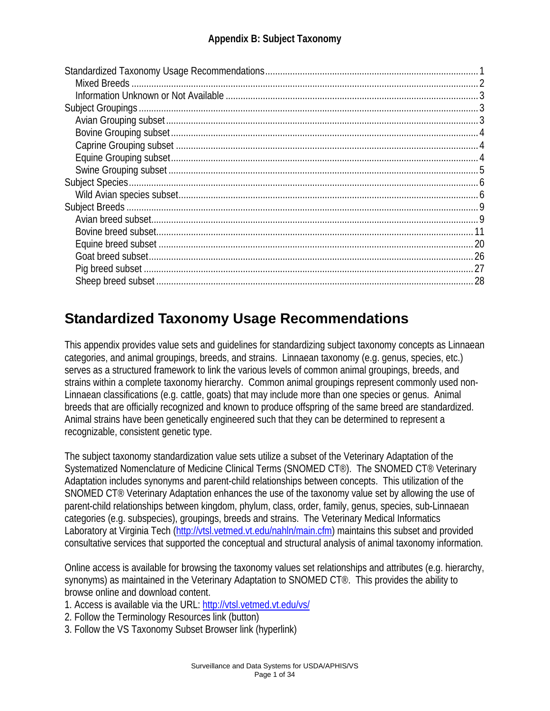# **Standardized Taxonomy Usage Recommendations**

This appendix provides value sets and guidelines for standardizing subject taxonomy concepts as Linnaean categories, and animal groupings, breeds, and strains. Linnaean taxonomy (e.g. genus, species, etc.) serves as a structured framework to link the various levels of common animal groupings, breeds, and strains within a complete taxonomy hierarchy. Common animal groupings represent commonly used non-Linnaean classifications (e.g. cattle, goats) that may include more than one species or genus. Animal breeds that are officially recognized and known to produce offspring of the same breed are standardized. Animal strains have been genetically engineered such that they can be determined to represent a recognizable, consistent genetic type.

The subject taxonomy standardization value sets utilize a subset of the Veterinary Adaptation of the Systematized Nomenclature of Medicine Clinical Terms (SNOMED CT®). The SNOMED CT® Veterinary Adaptation includes synonyms and parent-child relationships between concepts. This utilization of the SNOMED CT® Veterinary Adaptation enhances the use of the taxonomy value set by allowing the use of parent-child relationships between kingdom, phylum, class, order, family, genus, species, sub-Linnaean categories (e.g. subspecies), groupings, breeds and strains. The Veterinary Medical Informatics Laboratory at Virginia Tech (http://vtsl.vetmed.vt.edu/nahln/main.cfm) maintains this subset and provided consultative services that supported the conceptual and structural analysis of animal taxonomy information.

Online access is available for browsing the taxonomy values set relationships and attributes (e.g. hierarchy, synonyms) as maintained in the Veterinary Adaptation to SNOMED CT®. This provides the ability to browse online and download content.

- 1. Access is available via the URL: http://vtsl.vetmed.vt.edu/vs/
- 2. Follow the Terminology Resources link (button)
- 3. Follow the VS Taxonomy Subset Browser link (hyperlink)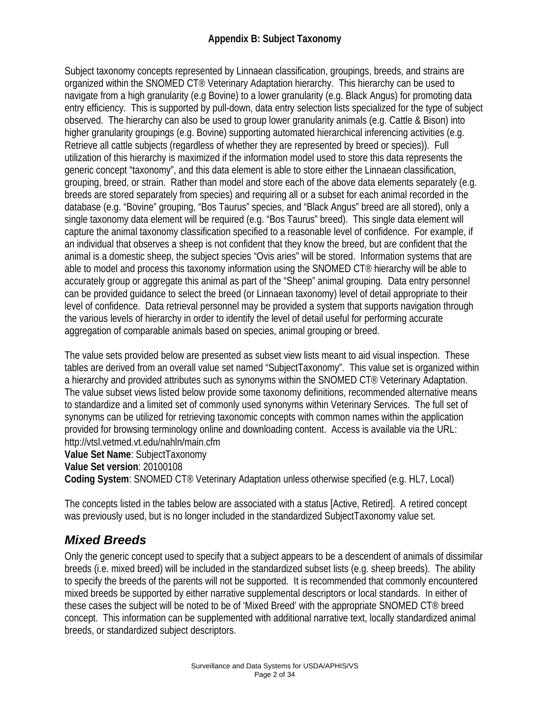Subject taxonomy concepts represented by Linnaean classification, groupings, breeds, and strains are organized within the SNOMED CT® Veterinary Adaptation hierarchy. This hierarchy can be used to navigate from a high granularity (e.g Bovine) to a lower granularity (e.g. Black Angus) for promoting data entry efficiency. This is supported by pull-down, data entry selection lists specialized for the type of subject observed. The hierarchy can also be used to group lower granularity animals (e.g. Cattle & Bison) into higher granularity groupings (e.g. Bovine) supporting automated hierarchical inferencing activities (e.g. Retrieve all cattle subjects (regardless of whether they are represented by breed or species)). Full utilization of this hierarchy is maximized if the information model used to store this data represents the generic concept "taxonomy", and this data element is able to store either the Linnaean classification, grouping, breed, or strain. Rather than model and store each of the above data elements separately (e.g. breeds are stored separately from species) and requiring all or a subset for each animal recorded in the database (e.g. "Bovine" grouping, "Bos Taurus" species, and "Black Angus" breed are all stored), only a single taxonomy data element will be required (e.g. "Bos Taurus" breed). This single data element will capture the animal taxonomy classification specified to a reasonable level of confidence. For example, if an individual that observes a sheep is not confident that they know the breed, but are confident that the animal is a domestic sheep, the subject species "Ovis aries" will be stored. Information systems that are able to model and process this taxonomy information using the SNOMED CT® hierarchy will be able to accurately group or aggregate this animal as part of the "Sheep" animal grouping. Data entry personnel can be provided guidance to select the breed (or Linnaean taxonomy) level of detail appropriate to their level of confidence. Data retrieval personnel may be provided a system that supports navigation through the various levels of hierarchy in order to identify the level of detail useful for performing accurate aggregation of comparable animals based on species, animal grouping or breed.

The value sets provided below are presented as subset view lists meant to aid visual inspection. These tables are derived from an overall value set named "SubjectTaxonomy". This value set is organized within a hierarchy and provided attributes such as synonyms within the SNOMED CT® Veterinary Adaptation. The value subset views listed below provide some taxonomy definitions, recommended alternative means to standardize and a limited set of commonly used synonyms within Veterinary Services. The full set of synonyms can be utilized for retrieving taxonomic concepts with common names within the application provided for browsing terminology online and downloading content. Access is available via the URL: http://vtsl.vetmed.vt.edu/nahln/main.cfm

**Value Set Name**: SubjectTaxonomy

**Value Set version**: 20100108

**Coding System**: SNOMED CT® Veterinary Adaptation unless otherwise specified (e.g. HL7, Local)

The concepts listed in the tables below are associated with a status [Active, Retired]. A retired concept was previously used, but is no longer included in the standardized SubjectTaxonomy value set.

#### *Mixed Breeds*

Only the generic concept used to specify that a subject appears to be a descendent of animals of dissimilar breeds (i.e. mixed breed) will be included in the standardized subset lists (e.g. sheep breeds). The ability to specify the breeds of the parents will not be supported. It is recommended that commonly encountered mixed breeds be supported by either narrative supplemental descriptors or local standards. In either of these cases the subject will be noted to be of 'Mixed Breed' with the appropriate SNOMED CT® breed concept. This information can be supplemented with additional narrative text, locally standardized animal breeds, or standardized subject descriptors.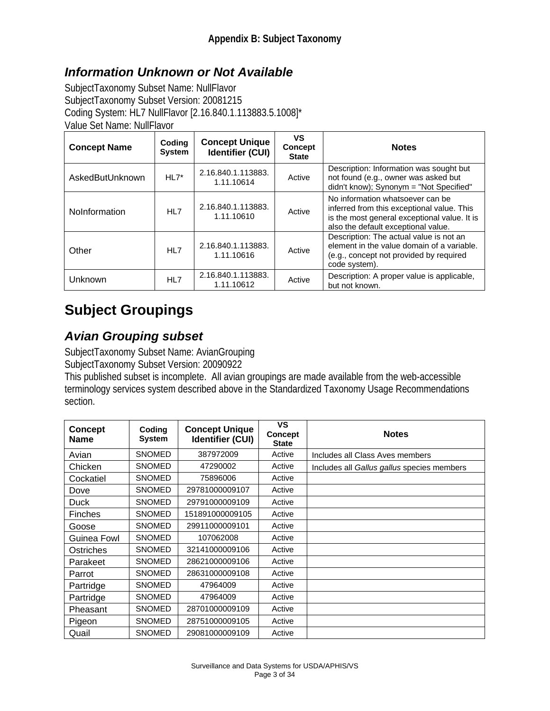### *Information Unknown or Not Available*

SubjectTaxonomy Subset Name: NullFlavor SubjectTaxonomy Subset Version: 20081215 Coding System: HL7 NullFlavor [2.16.840.1.113883.5.1008]\* Value Set Name: NullFlavor

| <b>Concept Name</b> | Coding<br><b>System</b> | <b>Concept Unique</b><br><b>Identifier (CUI)</b> | VS<br><b>Concept</b><br><b>State</b> | <b>Notes</b>                                                                                                                                                          |
|---------------------|-------------------------|--------------------------------------------------|--------------------------------------|-----------------------------------------------------------------------------------------------------------------------------------------------------------------------|
| AskedButUnknown     | $HL7*$                  | 2.16.840.1.113883.<br>1.11.10614                 | Active                               | Description: Information was sought but<br>not found (e.g., owner was asked but<br>didn't know); Synonym = "Not Specified"                                            |
| NoInformation       | HL7                     | 2.16.840.1.113883.<br>1.11.10610                 | Active                               | No information whatsoever can be<br>inferred from this exceptional value. This<br>is the most general exceptional value. It is<br>also the default exceptional value. |
| Other               | HL7                     | 2.16.840.1.113883.<br>1.11.10616                 | Active                               | Description: The actual value is not an<br>element in the value domain of a variable.<br>(e.g., concept not provided by required<br>code system).                     |
| Unknown             | HL7                     | 2.16.840.1.113883.<br>1.11.10612                 | Active                               | Description: A proper value is applicable,<br>but not known.                                                                                                          |

## **Subject Groupings**

#### *Avian Grouping subset*

SubjectTaxonomy Subset Name: AvianGrouping SubjectTaxonomy Subset Version: 20090922

This published subset is incomplete. All avian groupings are made available from the web-accessible terminology services system described above in the Standardized Taxonomy Usage Recommendations section.

| <b>Concept</b><br><b>Name</b> | Coding<br><b>System</b> | <b>Concept Unique</b><br><b>Identifier (CUI)</b> | <b>VS</b><br><b>Concept</b><br><b>State</b> | <b>Notes</b>                               |
|-------------------------------|-------------------------|--------------------------------------------------|---------------------------------------------|--------------------------------------------|
| Avian                         | <b>SNOMED</b>           | 387972009                                        | Active                                      | Includes all Class Aves members            |
| Chicken                       | <b>SNOMED</b>           | 47290002                                         | Active                                      | Includes all Gallus gallus species members |
| Cockatiel                     | <b>SNOMED</b>           | 75896006                                         | Active                                      |                                            |
| Dove                          | <b>SNOMED</b>           | 29781000009107                                   | Active                                      |                                            |
| Duck                          | <b>SNOMED</b>           | 29791000009109                                   | Active                                      |                                            |
| <b>Finches</b>                | <b>SNOMED</b>           | 151891000009105                                  | Active                                      |                                            |
| Goose                         | <b>SNOMED</b>           | 29911000009101                                   | Active                                      |                                            |
| Guinea Fowl                   | <b>SNOMED</b>           | 107062008                                        | Active                                      |                                            |
| Ostriches                     | <b>SNOMED</b>           | 32141000009106                                   | Active                                      |                                            |
| Parakeet                      | <b>SNOMED</b>           | 28621000009106                                   | Active                                      |                                            |
| Parrot                        | <b>SNOMED</b>           | 28631000009108                                   | Active                                      |                                            |
| Partridge                     | <b>SNOMED</b>           | 47964009                                         | Active                                      |                                            |
| Partridge                     | <b>SNOMED</b>           | 47964009                                         | Active                                      |                                            |
| Pheasant                      | <b>SNOMED</b>           | 28701000009109                                   | Active                                      |                                            |
| Pigeon                        | <b>SNOMED</b>           | 28751000009105                                   | Active                                      |                                            |
| Quail                         | <b>SNOMED</b>           | 29081000009109                                   | Active                                      |                                            |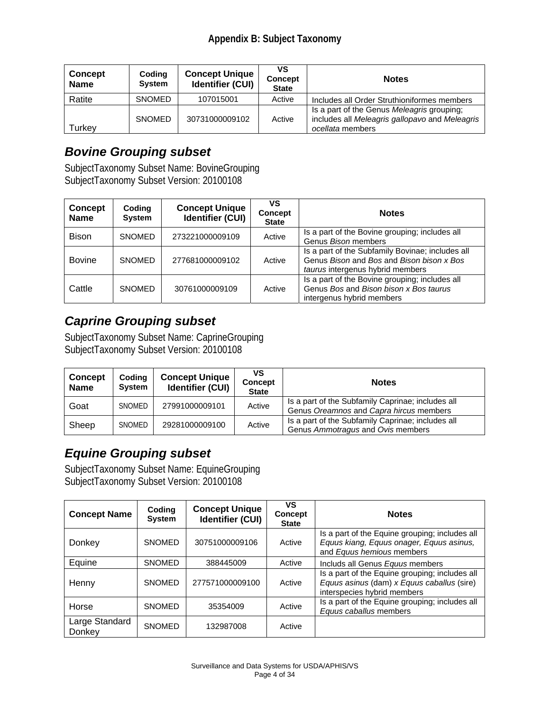| <b>Concept</b><br><b>Name</b> | Coding<br><b>System</b> | <b>Concept Unique</b><br><b>Identifier (CUI)</b> | vs<br><b>Concept</b><br><b>State</b> | <b>Notes</b>                                                                                                     |
|-------------------------------|-------------------------|--------------------------------------------------|--------------------------------------|------------------------------------------------------------------------------------------------------------------|
| Ratite                        | <b>SNOMED</b>           | 107015001                                        | Active                               | Includes all Order Struthioniformes members                                                                      |
| Turkey                        | <b>SNOMED</b>           | 30731000009102                                   | Active                               | Is a part of the Genus Meleagris grouping:<br>includes all Meleagris gallopavo and Meleagris<br>ocellata members |

#### *Bovine Grouping subset*

SubjectTaxonomy Subset Name: BovineGrouping SubjectTaxonomy Subset Version: 20100108

| <b>Concept</b><br><b>Name</b> | Coding<br><b>System</b> | <b>Concept Unique</b><br><b>Identifier (CUI)</b> | VS<br><b>Concept</b><br><b>State</b> | <b>Notes</b>                                                                                                                      |
|-------------------------------|-------------------------|--------------------------------------------------|--------------------------------------|-----------------------------------------------------------------------------------------------------------------------------------|
| <b>Bison</b>                  | <b>SNOMED</b>           | 273221000009109                                  | Active                               | Is a part of the Bovine grouping; includes all<br>Genus Bison members                                                             |
| <b>Bovine</b>                 | <b>SNOMED</b>           | 277681000009102                                  | Active                               | Is a part of the Subfamily Bovinae; includes all<br>Genus Bison and Bos and Bison bison x Bos<br>taurus intergenus hybrid members |
| Cattle                        | <b>SNOMED</b>           | 30761000009109                                   | Active                               | Is a part of the Bovine grouping; includes all<br>Genus Bos and Bison bison x Bos taurus<br>intergenus hybrid members             |

### *Caprine Grouping subset*

SubjectTaxonomy Subset Name: CaprineGrouping SubjectTaxonomy Subset Version: 20100108

| <b>Concept</b><br><b>Name</b> | Coding<br><b>System</b> | <b>Concept Unique</b><br><b>Identifier (CUI)</b> | VS<br><b>Concept</b><br><b>State</b> | <b>Notes</b>                                                                                 |
|-------------------------------|-------------------------|--------------------------------------------------|--------------------------------------|----------------------------------------------------------------------------------------------|
| Goat                          | SNOMED                  | 27991000009101                                   | Active                               | Is a part of the Subfamily Caprinae; includes all<br>Genus Oreamnos and Capra hircus members |
| Sheep                         | SNOMED                  | 29281000009100                                   | Active                               | Is a part of the Subfamily Caprinae; includes all<br>Genus Ammotragus and Ovis members       |

### *Equine Grouping subset*

SubjectTaxonomy Subset Name: EquineGrouping SubjectTaxonomy Subset Version: 20100108

| <b>Concept Name</b>      | Coding<br><b>System</b> | <b>Concept Unique</b><br><b>Identifier (CUI)</b> | VS<br><b>Concept</b><br><b>State</b> | <b>Notes</b>                                                                                                                |
|--------------------------|-------------------------|--------------------------------------------------|--------------------------------------|-----------------------------------------------------------------------------------------------------------------------------|
| Donkey                   | <b>SNOMED</b>           | 30751000009106                                   | Active                               | Is a part of the Equine grouping; includes all<br>Equus kiang, Equus onager, Equus asinus,<br>and Equus hemious members     |
| Equine                   | <b>SNOMED</b>           | 388445009                                        | Active                               | Includs all Genus Equus members                                                                                             |
| Henny                    | <b>SNOMED</b>           | 277571000009100                                  | Active                               | Is a part of the Equine grouping; includes all<br>Equus asinus (dam) x Equus caballus (sire)<br>interspecies hybrid members |
| Horse                    | <b>SNOMED</b>           | 35354009                                         | Active                               | Is a part of the Equine grouping; includes all<br>Equus caballus members                                                    |
| Large Standard<br>Donkey | <b>SNOMED</b>           | 132987008                                        | Active                               |                                                                                                                             |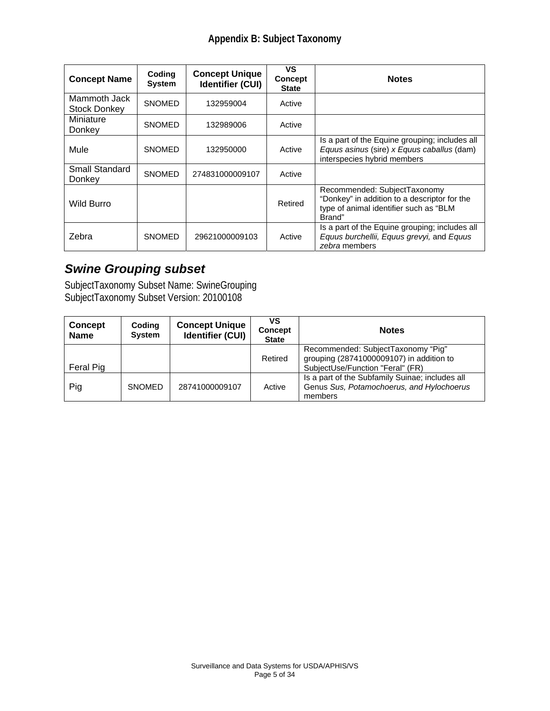| <b>Concept Name</b>                 | Coding<br><b>System</b> | <b>Concept Unique</b><br><b>Identifier (CUI)</b> | ٧S<br><b>Concept</b><br><b>State</b> | <b>Notes</b>                                                                                                                     |
|-------------------------------------|-------------------------|--------------------------------------------------|--------------------------------------|----------------------------------------------------------------------------------------------------------------------------------|
| Mammoth Jack<br><b>Stock Donkey</b> | <b>SNOMED</b>           | 132959004                                        | Active                               |                                                                                                                                  |
| Miniature<br>Donkey                 | <b>SNOMED</b>           | 132989006                                        | Active                               |                                                                                                                                  |
| Mule                                | <b>SNOMED</b>           | 132950000                                        | Active                               | Is a part of the Equine grouping; includes all<br>Equus asinus (sire) x Equus caballus (dam)<br>interspecies hybrid members      |
| <b>Small Standard</b><br>Donkey     | <b>SNOMED</b>           | 274831000009107                                  | Active                               |                                                                                                                                  |
| Wild Burro                          |                         |                                                  | Retired                              | Recommended: SubjectTaxonomy<br>"Donkey" in addition to a descriptor for the<br>type of animal identifier such as "BLM<br>Brand" |
| Zebra                               | <b>SNOMED</b>           | 29621000009103                                   | Active                               | Is a part of the Equine grouping; includes all<br>Equus burchellii, Equus grevyi, and Equus<br>zebra members                     |

## *Swine Grouping subset*

SubjectTaxonomy Subset Name: SwineGrouping SubjectTaxonomy Subset Version: 20100108

| <b>Concept</b><br><b>Name</b> | Coding<br><b>System</b> | <b>Concept Unique</b><br><b>Identifier (CUI)</b> | ٧S<br><b>Concept</b><br><b>State</b> | <b>Notes</b>                                                                                                       |
|-------------------------------|-------------------------|--------------------------------------------------|--------------------------------------|--------------------------------------------------------------------------------------------------------------------|
| Feral Pig                     |                         |                                                  | Retired                              | Recommended: SubjectTaxonomy "Pig"<br>grouping (28741000009107) in addition to<br>SubjectUse/Function "Feral" (FR) |
| Pig                           | <b>SNOMED</b>           | 28741000009107                                   | Active                               | Is a part of the Subfamily Suinae; includes all<br>Genus Sus, Potamochoerus, and Hylochoerus<br>members            |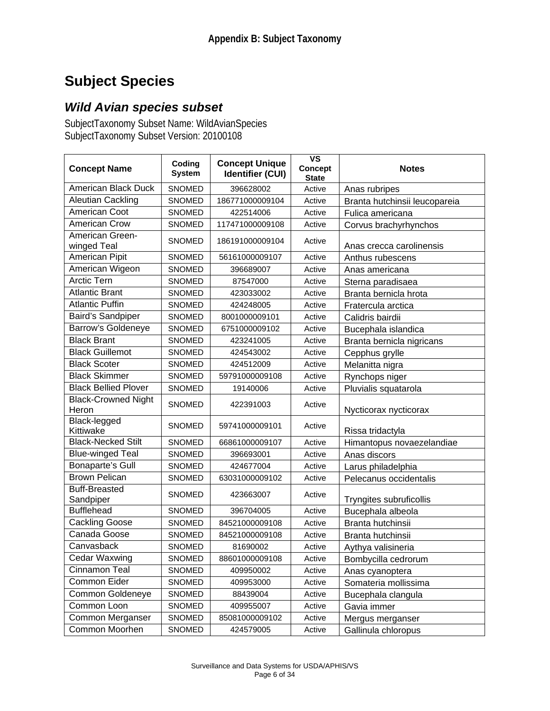## **Subject Species**

#### *Wild Avian species subset*

SubjectTaxonomy Subset Name: WildAvianSpecies SubjectTaxonomy Subset Version: 20100108

| <b>Concept Name</b>                 | Coding<br><b>System</b> | <b>Concept Unique</b><br><b>Identifier (CUI)</b> | $\overline{\mathsf{vs}}$<br><b>Concept</b><br><b>State</b> | <b>Notes</b>                  |
|-------------------------------------|-------------------------|--------------------------------------------------|------------------------------------------------------------|-------------------------------|
| American Black Duck                 | <b>SNOMED</b>           | 396628002                                        | Active                                                     | Anas rubripes                 |
| Aleutian Cackling                   | SNOMED                  | 186771000009104                                  | Active                                                     | Branta hutchinsii leucopareia |
| American Coot                       | SNOMED                  | 422514006                                        | Active                                                     | Fulica americana              |
| American Crow                       | SNOMED                  | 117471000009108                                  | Active                                                     | Corvus brachyrhynchos         |
| American Green-<br>winged Teal      | <b>SNOMED</b>           | 186191000009104                                  | Active                                                     | Anas crecca carolinensis      |
| American Pipit                      | <b>SNOMED</b>           | 56161000009107                                   | Active                                                     | Anthus rubescens              |
| American Wigeon                     | <b>SNOMED</b>           | 396689007                                        | Active                                                     | Anas americana                |
| <b>Arctic Tern</b>                  | SNOMED                  | 87547000                                         | Active                                                     | Sterna paradisaea             |
| <b>Atlantic Brant</b>               | <b>SNOMED</b>           | 423033002                                        | Active                                                     | Branta bernicla hrota         |
| <b>Atlantic Puffin</b>              | <b>SNOMED</b>           | 424248005                                        | Active                                                     | Fratercula arctica            |
| Baird's Sandpiper                   | <b>SNOMED</b>           | 8001000009101                                    | Active                                                     | Calidris bairdii              |
| <b>Barrow's Goldeneye</b>           | SNOMED                  | 6751000009102                                    | Active                                                     | Bucephala islandica           |
| <b>Black Brant</b>                  | SNOMED                  | 423241005                                        | Active                                                     | Branta bernicla nigricans     |
| <b>Black Guillemot</b>              | <b>SNOMED</b>           | 424543002                                        | Active                                                     | Cepphus grylle                |
| <b>Black Scoter</b>                 | SNOMED                  | 424512009                                        | Active                                                     | Melanitta nigra               |
| <b>Black Skimmer</b>                | <b>SNOMED</b>           | 59791000009108                                   | Active                                                     | Rynchops niger                |
| <b>Black Bellied Plover</b>         | SNOMED                  | 19140006                                         | Active                                                     | Pluvialis squatarola          |
| <b>Black-Crowned Night</b><br>Heron | <b>SNOMED</b>           | 422391003                                        | Active                                                     | Nycticorax nycticorax         |
| Black-legged<br>Kittiwake           | <b>SNOMED</b>           | 59741000009101                                   | Active                                                     | Rissa tridactyla              |
| <b>Black-Necked Stilt</b>           | <b>SNOMED</b>           | 66861000009107                                   | Active                                                     | Himantopus novaezelandiae     |
| <b>Blue-winged Teal</b>             | SNOMED                  | 396693001                                        | Active                                                     | Anas discors                  |
| Bonaparte's Gull                    | <b>SNOMED</b>           | 424677004                                        | Active                                                     | Larus philadelphia            |
| <b>Brown Pelican</b>                | SNOMED                  | 63031000009102                                   | Active                                                     | Pelecanus occidentalis        |
| <b>Buff-Breasted</b><br>Sandpiper   | <b>SNOMED</b>           | 423663007                                        | Active                                                     | Tryngites subruficollis       |
| <b>Bufflehead</b>                   | <b>SNOMED</b>           | 396704005                                        | Active                                                     | Bucephala albeola             |
| <b>Cackling Goose</b>               | SNOMED                  | 84521000009108                                   | Active                                                     | Branta hutchinsii             |
| Canada Goose                        | SNOMED                  | 84521000009108                                   | Active                                                     | Branta hutchinsii             |
| Canvasback                          | <b>SNOMED</b>           | 81690002                                         | Active                                                     | Aythya valisineria            |
| <b>Cedar Waxwing</b>                | SNOMED                  | 88601000009108                                   | Active                                                     | Bombycilla cedrorum           |
| Cinnamon Teal                       | SNOMED                  | 409950002                                        | Active                                                     | Anas cyanoptera               |
| Common Eider                        | SNOMED                  | 409953000                                        | Active                                                     | Somateria mollissima          |
| Common Goldeneye                    | SNOMED                  | 88439004                                         | Active                                                     | Bucephala clangula            |
| Common Loon                         | SNOMED                  | 409955007                                        | Active                                                     | Gavia immer                   |
| Common Merganser                    | SNOMED                  | 85081000009102                                   | Active                                                     | Mergus merganser              |
| Common Moorhen                      | SNOMED                  | 424579005                                        | Active                                                     | Gallinula chloropus           |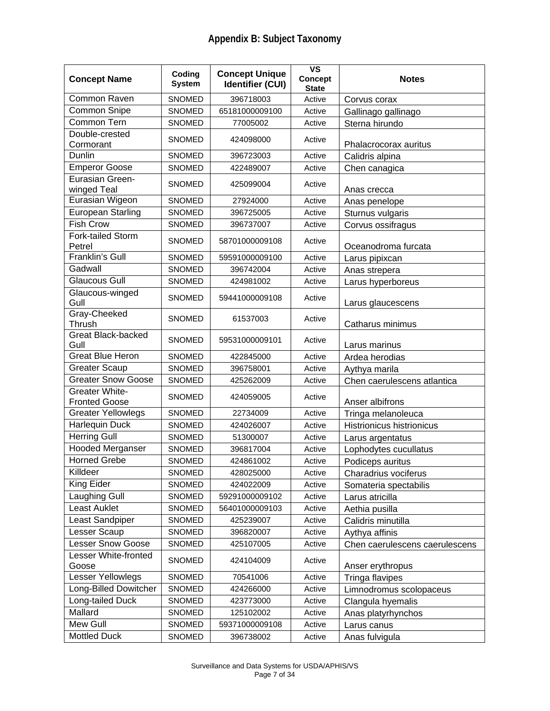| <b>Concept Name</b>                           | Coding<br><b>System</b> | <b>Concept Unique</b><br><b>Identifier (CUI)</b> | $\overline{\mathsf{vs}}$<br><b>Concept</b><br><b>State</b> | <b>Notes</b>                     |
|-----------------------------------------------|-------------------------|--------------------------------------------------|------------------------------------------------------------|----------------------------------|
| Common Raven                                  | SNOMED                  | 396718003                                        | Active                                                     | Corvus corax                     |
| Common Snipe                                  | SNOMED                  | 65181000009100                                   | Active                                                     | Gallinago gallinago              |
| Common Tern                                   | SNOMED                  | 77005002                                         | Active                                                     | Sterna hirundo                   |
| Double-crested<br>Cormorant                   | <b>SNOMED</b>           | 424098000                                        | Active                                                     | Phalacrocorax auritus            |
| Dunlin                                        | <b>SNOMED</b>           | 396723003                                        | Active                                                     | Calidris alpina                  |
| <b>Emperor Goose</b>                          | <b>SNOMED</b>           | 422489007                                        | Active                                                     | Chen canagica                    |
| Eurasian Green-<br>winged Teal                | <b>SNOMED</b>           | 425099004                                        | Active                                                     | Anas crecca                      |
| Eurasian Wigeon                               | SNOMED                  | 27924000                                         | Active                                                     | Anas penelope                    |
| <b>European Starling</b>                      | SNOMED                  | 396725005                                        | Active                                                     | Sturnus vulgaris                 |
| <b>Fish Crow</b>                              | <b>SNOMED</b>           | 396737007                                        | Active                                                     | Corvus ossifragus                |
| Fork-tailed Storm<br>Petrel                   | <b>SNOMED</b>           | 58701000009108                                   | Active                                                     | Oceanodroma furcata              |
| Franklin's Gull                               | SNOMED                  | 59591000009100                                   | Active                                                     | Larus pipixcan                   |
| Gadwall                                       | SNOMED                  | 396742004                                        | Active                                                     | Anas strepera                    |
| <b>Glaucous Gull</b>                          | <b>SNOMED</b>           | 424981002                                        | Active                                                     | Larus hyperboreus                |
| Glaucous-winged<br>Gull                       | <b>SNOMED</b>           | 59441000009108                                   | Active                                                     | Larus glaucescens                |
| Gray-Cheeked<br>Thrush                        | <b>SNOMED</b>           | 61537003                                         | Active                                                     | Catharus minimus                 |
| <b>Great Black-backed</b><br>Gull             | <b>SNOMED</b>           | 59531000009101                                   | Active                                                     | Larus marinus                    |
| <b>Great Blue Heron</b>                       | <b>SNOMED</b>           | 422845000                                        | Active                                                     | Ardea herodias                   |
| <b>Greater Scaup</b>                          | SNOMED                  | 396758001                                        | Active                                                     | Aythya marila                    |
| <b>Greater Snow Goose</b>                     | <b>SNOMED</b>           | 425262009                                        | Active                                                     | Chen caerulescens atlantica      |
| <b>Greater White-</b><br><b>Fronted Goose</b> | <b>SNOMED</b>           | 424059005                                        | Active                                                     | Anser albifrons                  |
| <b>Greater Yellowlegs</b>                     | <b>SNOMED</b>           | 22734009                                         | Active                                                     | Tringa melanoleuca               |
| Harlequin Duck                                | SNOMED                  | 424026007                                        | Active                                                     | <b>Histrionicus histrionicus</b> |
| <b>Herring Gull</b>                           | <b>SNOMED</b>           | 51300007                                         | Active                                                     | Larus argentatus                 |
| Hooded Merganser                              | SNOMED                  | 396817004                                        | Active                                                     | Lophodytes cucullatus            |
| <b>Horned Grebe</b>                           | SNOMED                  | 424861002                                        | Active                                                     | Podiceps auritus                 |
| Killdeer                                      | SNOMED                  | 428025000                                        | Active                                                     | Charadrius vociferus             |
| King Eider                                    | SNOMED                  | 424022009                                        | Active                                                     | Somateria spectabilis            |
| Laughing Gull                                 | SNOMED                  | 59291000009102                                   | Active                                                     | Larus atricilla                  |
| Least Auklet                                  | SNOMED                  | 56401000009103                                   | Active                                                     | Aethia pusilla                   |
| Least Sandpiper                               | SNOMED                  | 425239007                                        | Active                                                     | Calidris minutilla               |
| Lesser Scaup                                  | <b>SNOMED</b>           | 396820007                                        | Active                                                     | Aythya affinis                   |
| <b>Lesser Snow Goose</b>                      | <b>SNOMED</b>           | 425107005                                        | Active                                                     | Chen caerulescens caerulescens   |
| Lesser White-fronted<br>Goose                 | <b>SNOMED</b>           | 424104009                                        | Active                                                     | Anser erythropus                 |
| Lesser Yellowlegs                             | <b>SNOMED</b>           | 70541006                                         | Active                                                     | Tringa flavipes                  |
| Long-Billed Dowitcher                         | <b>SNOMED</b>           | 424266000                                        | Active                                                     | Limnodromus scolopaceus          |
| Long-tailed Duck                              | <b>SNOMED</b>           | 423773000                                        | Active                                                     | Clangula hyemalis                |
| Mallard                                       | SNOMED                  | 125102002                                        | Active                                                     | Anas platyrhynchos               |
| Mew Gull                                      | SNOMED                  | 59371000009108                                   | Active                                                     | Larus canus                      |
| <b>Mottled Duck</b>                           | SNOMED                  | 396738002                                        | Active                                                     | Anas fulvigula                   |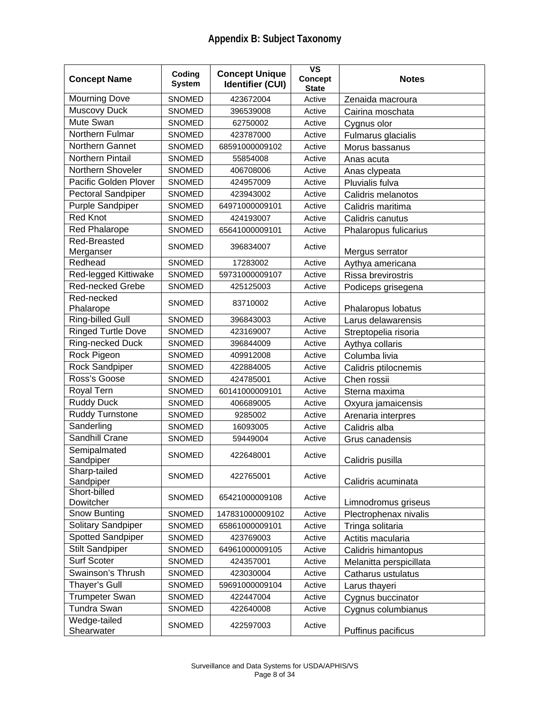| <b>Concept Name</b>        | Coding<br><b>System</b> | <b>Concept Unique</b><br><b>Identifier (CUI)</b> | $\overline{\mathsf{vs}}$<br><b>Concept</b><br><b>State</b> | <b>Notes</b>            |
|----------------------------|-------------------------|--------------------------------------------------|------------------------------------------------------------|-------------------------|
| <b>Mourning Dove</b>       | SNOMED                  | 423672004                                        | Active                                                     | Zenaida macroura        |
| Muscovy Duck               | <b>SNOMED</b>           | 396539008                                        | Active                                                     | Cairina moschata        |
| Mute Swan                  | <b>SNOMED</b>           | 62750002                                         | Active                                                     | Cygnus olor             |
| Northern Fulmar            | <b>SNOMED</b>           | 423787000                                        | Active                                                     | Fulmarus glacialis      |
| Northern Gannet            | <b>SNOMED</b>           | 68591000009102                                   | Active                                                     | Morus bassanus          |
| Northern Pintail           | <b>SNOMED</b>           | 55854008                                         | Active                                                     | Anas acuta              |
| Northern Shoveler          | SNOMED                  | 406708006                                        | Active                                                     | Anas clypeata           |
| Pacific Golden Plover      | SNOMED                  | 424957009                                        | Active                                                     | Pluvialis fulva         |
| Pectoral Sandpiper         | <b>SNOMED</b>           | 423943002                                        | Active                                                     | Calidris melanotos      |
| <b>Purple Sandpiper</b>    | SNOMED                  | 64971000009101                                   | Active                                                     | Calidris maritima       |
| <b>Red Knot</b>            | <b>SNOMED</b>           | 424193007                                        | Active                                                     | Calidris canutus        |
| <b>Red Phalarope</b>       | SNOMED                  | 65641000009101                                   | Active                                                     | Phalaropus fulicarius   |
| Red-Breasted               |                         |                                                  |                                                            |                         |
| Merganser                  | <b>SNOMED</b>           | 396834007                                        | Active                                                     | Mergus serrator         |
| Redhead                    | <b>SNOMED</b>           | 17283002                                         | Active                                                     | Aythya americana        |
| Red-legged Kittiwake       | <b>SNOMED</b>           | 59731000009107                                   | Active                                                     | Rissa brevirostris      |
| <b>Red-necked Grebe</b>    | SNOMED                  | 425125003                                        | Active                                                     | Podiceps grisegena      |
| Red-necked                 | <b>SNOMED</b>           | 83710002                                         | Active                                                     |                         |
| Phalarope                  |                         |                                                  |                                                            | Phalaropus lobatus      |
| <b>Ring-billed Gull</b>    | <b>SNOMED</b>           | 396843003                                        | Active                                                     | Larus delawarensis      |
| <b>Ringed Turtle Dove</b>  | <b>SNOMED</b>           | 423169007                                        | Active                                                     | Streptopelia risoria    |
| Ring-necked Duck           | <b>SNOMED</b>           | 396844009                                        | Active                                                     | Aythya collaris         |
| Rock Pigeon                | <b>SNOMED</b>           | 409912008                                        | Active                                                     | Columba livia           |
| Rock Sandpiper             | SNOMED                  | 422884005                                        | Active                                                     | Calidris ptilocnemis    |
| Ross's Goose               | SNOMED                  | 424785001                                        | Active                                                     | Chen rossii             |
| Royal Tern                 | <b>SNOMED</b>           | 60141000009101                                   | Active                                                     | Sterna maxima           |
| <b>Ruddy Duck</b>          | SNOMED                  | 406689005                                        | Active                                                     | Oxyura jamaicensis      |
| <b>Ruddy Turnstone</b>     | <b>SNOMED</b>           | 9285002                                          | Active                                                     | Arenaria interpres      |
| Sanderling                 | SNOMED                  | 16093005                                         | Active                                                     | Calidris alba           |
| Sandhill Crane             | SNOMED                  | 59449004                                         | Active                                                     | Grus canadensis         |
| Semipalmated<br>Sandpiper  | <b>SNOMED</b>           | 422648001                                        | Active                                                     | Calidris pusilla        |
| Sharp-tailed<br>Sandpiper  | SNOMED                  | 422765001                                        | Active                                                     | Calidris acuminata      |
| Short-billed<br>Dowitcher  | SNOMED                  | 65421000009108                                   | Active                                                     | Limnodromus griseus     |
| Snow Bunting               | SNOMED                  | 147831000009102                                  | Active                                                     | Plectrophenax nivalis   |
| Solitary Sandpiper         | <b>SNOMED</b>           | 65861000009101                                   | Active                                                     | Tringa solitaria        |
| <b>Spotted Sandpiper</b>   | <b>SNOMED</b>           | 423769003                                        | Active                                                     | Actitis macularia       |
| <b>Stilt Sandpiper</b>     | <b>SNOMED</b>           | 64961000009105                                   | Active                                                     | Calidris himantopus     |
| Surf Scoter                | <b>SNOMED</b>           | 424357001                                        | Active                                                     | Melanitta perspicillata |
| Swainson's Thrush          | SNOMED                  | 423030004                                        | Active                                                     | Catharus ustulatus      |
| Thayer's Gull              | SNOMED                  | 59691000009104                                   | Active                                                     | Larus thayeri           |
| <b>Trumpeter Swan</b>      | SNOMED                  | 422447004                                        | Active                                                     | Cygnus buccinator       |
| <b>Tundra Swan</b>         | <b>SNOMED</b>           | 422640008                                        | Active                                                     | Cygnus columbianus      |
| Wedge-tailed<br>Shearwater | SNOMED                  | 422597003                                        | Active                                                     | Puffinus pacificus      |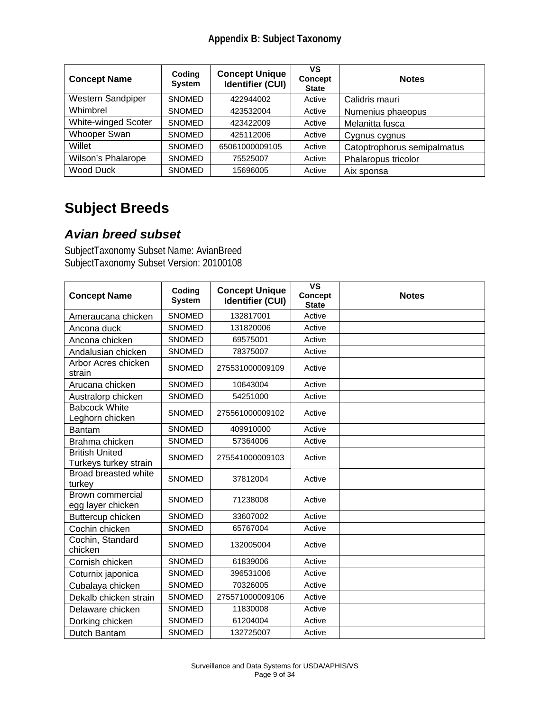#### **Appendix B: Subject Taxonomy**

| <b>Concept Name</b> | Coding<br><b>System</b> | <b>Concept Unique</b><br><b>Identifier (CUI)</b> | VS<br><b>Concept</b><br><b>State</b> | <b>Notes</b>                |
|---------------------|-------------------------|--------------------------------------------------|--------------------------------------|-----------------------------|
| Western Sandpiper   | <b>SNOMED</b>           | 422944002                                        | Active                               | Calidris mauri              |
| Whimbrel            | <b>SNOMED</b>           | 423532004                                        | Active                               | Numenius phaeopus           |
| White-winged Scoter | <b>SNOMED</b>           | 423422009                                        | Active                               | Melanitta fusca             |
| Whooper Swan        | <b>SNOMED</b>           | 425112006                                        | Active                               | Cygnus cygnus               |
| Willet              | <b>SNOMED</b>           | 65061000009105                                   | Active                               | Catoptrophorus semipalmatus |
| Wilson's Phalarope  | <b>SNOMED</b>           | 75525007                                         | Active                               | Phalaropus tricolor         |
| Wood Duck           | <b>SNOMED</b>           | 15696005                                         | Active                               | Aix sponsa                  |

## **Subject Breeds**

#### *Avian breed subset*

SubjectTaxonomy Subset Name: AvianBreed SubjectTaxonomy Subset Version: 20100108

| <b>Concept Name</b>                            | Coding<br><b>System</b> | <b>Concept Unique</b><br><b>Identifier (CUI)</b> | <b>VS</b><br><b>Concept</b><br><b>State</b> | <b>Notes</b> |
|------------------------------------------------|-------------------------|--------------------------------------------------|---------------------------------------------|--------------|
| Ameraucana chicken                             | <b>SNOMED</b>           | 132817001                                        | Active                                      |              |
| Ancona duck                                    | <b>SNOMED</b>           | 131820006                                        | Active                                      |              |
| Ancona chicken                                 | <b>SNOMED</b>           | 69575001                                         | Active                                      |              |
| Andalusian chicken                             | <b>SNOMED</b>           | 78375007                                         | Active                                      |              |
| Arbor Acres chicken<br>strain                  | <b>SNOMED</b>           | 275531000009109                                  | Active                                      |              |
| Arucana chicken                                | <b>SNOMED</b>           | 10643004                                         | Active                                      |              |
| Australorp chicken                             | <b>SNOMED</b>           | 54251000                                         | Active                                      |              |
| <b>Babcock White</b><br>Leghorn chicken        | <b>SNOMED</b>           | 275561000009102                                  | Active                                      |              |
| <b>Bantam</b>                                  | <b>SNOMED</b>           | 409910000                                        | Active                                      |              |
| Brahma chicken                                 | <b>SNOMED</b>           | 57364006                                         | Active                                      |              |
| <b>British United</b><br>Turkeys turkey strain | <b>SNOMED</b>           | 275541000009103                                  | Active                                      |              |
| <b>Broad breasted white</b><br>turkey          | <b>SNOMED</b>           | 37812004                                         | Active                                      |              |
| Brown commercial<br>egg layer chicken          | <b>SNOMED</b>           | 71238008                                         | Active                                      |              |
| Buttercup chicken                              | <b>SNOMED</b>           | 33607002                                         | Active                                      |              |
| Cochin chicken                                 | <b>SNOMED</b>           | 65767004                                         | Active                                      |              |
| Cochin, Standard<br>chicken                    | <b>SNOMED</b>           | 132005004                                        | Active                                      |              |
| Cornish chicken                                | <b>SNOMED</b>           | 61839006                                         | Active                                      |              |
| Coturnix japonica                              | <b>SNOMED</b>           | 396531006                                        | Active                                      |              |
| Cubalaya chicken                               | <b>SNOMED</b>           | 70326005                                         | Active                                      |              |
| Dekalb chicken strain                          | <b>SNOMED</b>           | 275571000009106                                  | Active                                      |              |
| Delaware chicken                               | <b>SNOMED</b>           | 11830008                                         | Active                                      |              |
| Dorking chicken                                | <b>SNOMED</b>           | 61204004                                         | Active                                      |              |
| Dutch Bantam                                   | <b>SNOMED</b>           | 132725007                                        | Active                                      |              |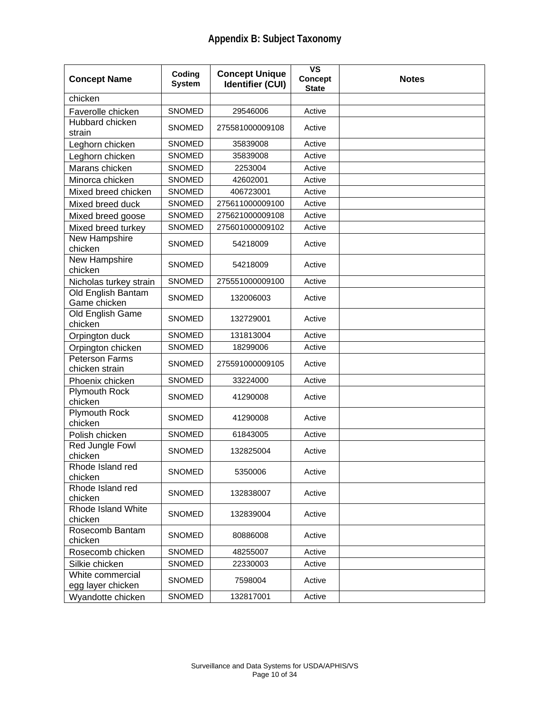| <b>Concept Name</b>                     | Coding<br><b>System</b> | <b>Concept Unique</b><br><b>Identifier (CUI)</b> | $\overline{\mathsf{vs}}$<br>Concept<br><b>State</b> | <b>Notes</b> |
|-----------------------------------------|-------------------------|--------------------------------------------------|-----------------------------------------------------|--------------|
| chicken                                 |                         |                                                  |                                                     |              |
| Faverolle chicken                       | <b>SNOMED</b>           | 29546006                                         | Active                                              |              |
| Hubbard chicken<br>strain               | <b>SNOMED</b>           | 275581000009108                                  | Active                                              |              |
| Leghorn chicken                         | SNOMED                  | 35839008                                         | Active                                              |              |
| Leghorn chicken                         | SNOMED                  | 35839008                                         | Active                                              |              |
| Marans chicken                          | <b>SNOMED</b>           | 2253004                                          | Active                                              |              |
| Minorca chicken                         | SNOMED                  | 42602001                                         | Active                                              |              |
| Mixed breed chicken                     | <b>SNOMED</b>           | 406723001                                        | Active                                              |              |
| Mixed breed duck                        | <b>SNOMED</b>           | 275611000009100                                  | Active                                              |              |
| Mixed breed goose                       | SNOMED                  | 275621000009108                                  | Active                                              |              |
| Mixed breed turkey                      | SNOMED                  | 275601000009102                                  | Active                                              |              |
| New Hampshire<br>chicken                | <b>SNOMED</b>           | 54218009                                         | Active                                              |              |
| New Hampshire<br>chicken                | <b>SNOMED</b>           | 54218009                                         | Active                                              |              |
| Nicholas turkey strain                  | <b>SNOMED</b>           | 275551000009100                                  | Active                                              |              |
| Old English Bantam<br>Game chicken      | <b>SNOMED</b>           | 132006003                                        | Active                                              |              |
| Old English Game<br>chicken             | <b>SNOMED</b>           | 132729001                                        | Active                                              |              |
| Orpington duck                          | <b>SNOMED</b>           | 131813004                                        | Active                                              |              |
| Orpington chicken                       | SNOMED                  | 18299006                                         | Active                                              |              |
| <b>Peterson Farms</b><br>chicken strain | <b>SNOMED</b>           | 275591000009105                                  | Active                                              |              |
| Phoenix chicken                         | <b>SNOMED</b>           | 33224000                                         | Active                                              |              |
| <b>Plymouth Rock</b><br>chicken         | <b>SNOMED</b>           | 41290008                                         | Active                                              |              |
| <b>Plymouth Rock</b><br>chicken         | <b>SNOMED</b>           | 41290008                                         | Active                                              |              |
| Polish chicken                          | <b>SNOMED</b>           | 61843005                                         | Active                                              |              |
| Red Jungle Fowl<br>chicken              | SNOMED                  | 132825004                                        | Active                                              |              |
| Rhode Island red<br>chicken             | SNOMED                  | 5350006                                          | Active                                              |              |
| Rhode Island red<br>chicken             | <b>SNOMED</b>           | 132838007                                        | Active                                              |              |
| Rhode Island White<br>chicken           | <b>SNOMED</b>           | 132839004                                        | Active                                              |              |
| Rosecomb Bantam<br>chicken              | <b>SNOMED</b>           | 80886008                                         | Active                                              |              |
| Rosecomb chicken                        | <b>SNOMED</b>           | 48255007                                         | Active                                              |              |
| Silkie chicken                          | SNOMED                  | 22330003                                         | Active                                              |              |
| White commercial<br>egg layer chicken   | <b>SNOMED</b>           | 7598004                                          | Active                                              |              |
| Wyandotte chicken                       | SNOMED                  | 132817001                                        | Active                                              |              |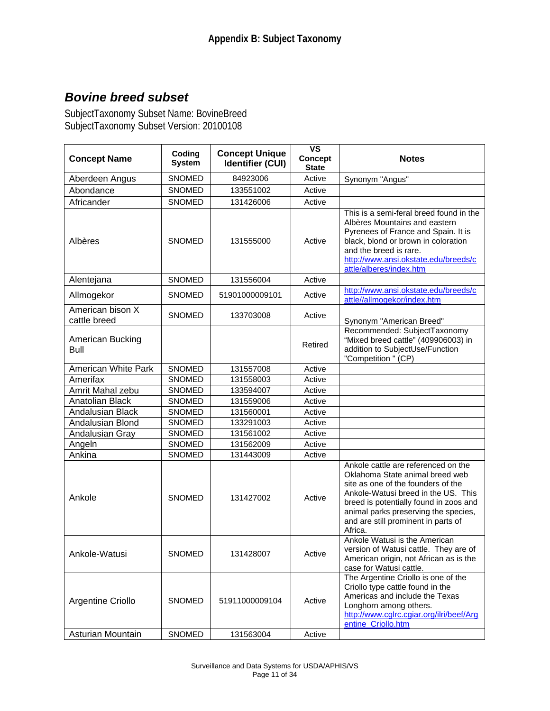## *Bovine breed subset*

SubjectTaxonomy Subset Name: BovineBreed SubjectTaxonomy Subset Version: 20100108

| <b>Concept Name</b>                    | Coding                         | <b>Concept Unique</b>       | <b>VS</b><br><b>Concept</b> | <b>Notes</b>                                                                                                                                                                                                                                                                            |
|----------------------------------------|--------------------------------|-----------------------------|-----------------------------|-----------------------------------------------------------------------------------------------------------------------------------------------------------------------------------------------------------------------------------------------------------------------------------------|
|                                        | <b>System</b>                  | <b>Identifier (CUI)</b>     | <b>State</b>                |                                                                                                                                                                                                                                                                                         |
| Aberdeen Angus                         | <b>SNOMED</b>                  | 84923006                    | Active                      | Synonym "Angus"                                                                                                                                                                                                                                                                         |
| Abondance                              | <b>SNOMED</b>                  | 133551002                   | Active                      |                                                                                                                                                                                                                                                                                         |
| Africander                             | <b>SNOMED</b>                  | 131426006                   | Active                      |                                                                                                                                                                                                                                                                                         |
| Albères                                | <b>SNOMED</b>                  | 131555000                   | Active                      | This is a semi-feral breed found in the<br>Albères Mountains and eastern<br>Pyrenees of France and Spain. It is<br>black, blond or brown in coloration<br>and the breed is rare.<br>http://www.ansi.okstate.edu/breeds/c<br>attle/alberes/index.htm                                     |
| Alentejana                             | <b>SNOMED</b>                  | 131556004                   | Active                      |                                                                                                                                                                                                                                                                                         |
| Allmogekor                             | <b>SNOMED</b>                  | 51901000009101              | Active                      | http://www.ansi.okstate.edu/breeds/c<br>attle//allmogekor/index.htm                                                                                                                                                                                                                     |
| American bison X<br>cattle breed       | <b>SNOMED</b>                  | 133703008                   | Active                      | Synonym "American Breed"                                                                                                                                                                                                                                                                |
| American Bucking<br>Bull               |                                |                             | Retired                     | Recommended: SubjectTaxonomy<br>"Mixed breed cattle" (409906003) in<br>addition to SubjectUse/Function<br>"Competition " (CP)                                                                                                                                                           |
| American White Park                    | <b>SNOMED</b>                  | 131557008                   | Active                      |                                                                                                                                                                                                                                                                                         |
| Amerifax                               | <b>SNOMED</b>                  | 131558003                   | Active                      |                                                                                                                                                                                                                                                                                         |
| Amrit Mahal zebu                       | SNOMED                         | 133594007                   | Active                      |                                                                                                                                                                                                                                                                                         |
| <b>Anatolian Black</b>                 | <b>SNOMED</b>                  | 131559006                   | Active                      |                                                                                                                                                                                                                                                                                         |
| Andalusian Black                       | SNOMED                         | 131560001                   | Active                      |                                                                                                                                                                                                                                                                                         |
| Andalusian Blond                       | SNOMED                         | 133291003                   | Active                      |                                                                                                                                                                                                                                                                                         |
| Andalusian Gray                        | SNOMED                         | 131561002                   | Active                      |                                                                                                                                                                                                                                                                                         |
| Angeln                                 | SNOMED                         | 131562009                   | Active                      |                                                                                                                                                                                                                                                                                         |
| Ankina                                 | SNOMED                         | 131443009                   | Active                      |                                                                                                                                                                                                                                                                                         |
| Ankole                                 | <b>SNOMED</b>                  | 131427002                   | Active                      | Ankole cattle are referenced on the<br>Oklahoma State animal breed web<br>site as one of the founders of the<br>Ankole-Watusi breed in the US. This<br>breed is potentially found in zoos and<br>animal parks preserving the species,<br>and are still prominent in parts of<br>Africa. |
| Ankole-Watusi                          | SNOMED                         | 131428007                   | Active                      | Ankole Watusi is the American<br>version of Watusi cattle. They are of<br>American origin, not African as is the<br>case for Watusi cattle.                                                                                                                                             |
| Argentine Criollo<br>Asturian Mountain | <b>SNOMED</b><br><b>SNOMED</b> | 51911000009104<br>131563004 | Active<br>Active            | The Argentine Criollo is one of the<br>Criollo type cattle found in the<br>Americas and include the Texas<br>Longhorn among others.<br>http://www.cglrc.cgiar.org/ilri/beef/Arg<br>entine_Criollo.htm                                                                                   |
|                                        |                                |                             |                             |                                                                                                                                                                                                                                                                                         |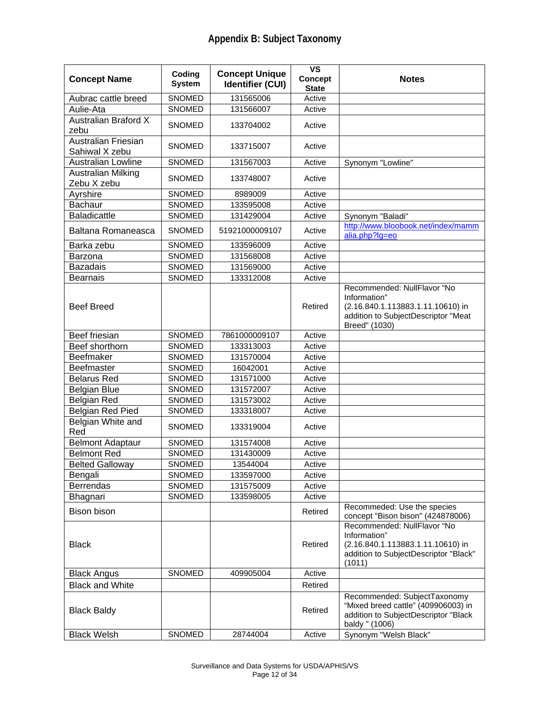| <b>Concept Name</b>                          | Coding<br><b>System</b> | <b>Concept Unique</b><br><b>Identifier (CUI)</b> | <b>VS</b><br><b>Concept</b><br><b>State</b> | <b>Notes</b>                                                                                                                             |
|----------------------------------------------|-------------------------|--------------------------------------------------|---------------------------------------------|------------------------------------------------------------------------------------------------------------------------------------------|
| Aubrac cattle breed                          | <b>SNOMED</b>           | 131565006                                        | Active                                      |                                                                                                                                          |
| Aulie-Ata                                    | <b>SNOMED</b>           | 131566007                                        | Active                                      |                                                                                                                                          |
| <b>Australian Braford X</b><br>zebu          | <b>SNOMED</b>           | 133704002                                        | Active                                      |                                                                                                                                          |
| Australian Friesian<br>Sahiwal X zebu        | <b>SNOMED</b>           | 133715007                                        | Active                                      |                                                                                                                                          |
| <b>Australian Lowline</b>                    | <b>SNOMED</b>           | 131567003                                        | Active                                      | Synonym "Lowline"                                                                                                                        |
| <b>Australian Milking</b><br>Zebu X zebu     | <b>SNOMED</b>           | 133748007                                        | Active                                      |                                                                                                                                          |
| Ayrshire                                     | SNOMED                  | 8989009                                          | Active                                      |                                                                                                                                          |
| <b>Bachaur</b>                               | SNOMED                  | 133595008                                        | Active                                      |                                                                                                                                          |
| <b>Baladicattle</b>                          | SNOMED                  | 131429004                                        | Active                                      | Synonym "Baladi"                                                                                                                         |
| Baltana Romaneasca                           | <b>SNOMED</b>           | 51921000009107                                   | Active                                      | http://www.bloobook.net/index/mamm<br>alia.php?lg=eo                                                                                     |
| Barka zebu                                   | <b>SNOMED</b>           | 133596009                                        | Active                                      |                                                                                                                                          |
| Barzona                                      | SNOMED                  | 131568008                                        | Active                                      |                                                                                                                                          |
| <b>Bazadais</b>                              | SNOMED                  | 131569000                                        | Active                                      |                                                                                                                                          |
| <b>Bearnais</b>                              | SNOMED                  | 133312008                                        | Active                                      |                                                                                                                                          |
| <b>Beef Breed</b>                            |                         |                                                  | Retired                                     | Recommended: NullFlavor "No<br>Information"<br>(2.16.840.1.113883.1.11.10610) in<br>addition to SubjectDescriptor "Meat<br>Breed" (1030) |
| Beef friesian                                | <b>SNOMED</b>           | 7861000009107                                    | Active                                      |                                                                                                                                          |
| Beef shorthorn                               | <b>SNOMED</b>           | 133313003                                        | Active                                      |                                                                                                                                          |
| Beefmaker                                    | <b>SNOMED</b>           | 131570004                                        | Active                                      |                                                                                                                                          |
| Beefmaster                                   | <b>SNOMED</b>           | 16042001                                         | Active                                      |                                                                                                                                          |
| <b>Belarus Red</b>                           | <b>SNOMED</b>           | 131571000                                        | Active                                      |                                                                                                                                          |
| <b>Belgian Blue</b>                          | <b>SNOMED</b>           | 131572007                                        | Active                                      |                                                                                                                                          |
| <b>Belgian Red</b>                           | <b>SNOMED</b>           | 131573002                                        | Active                                      |                                                                                                                                          |
| Belgian Red Pied<br>Belgian White and<br>Red | SNOMED<br><b>SNOMED</b> | 133318007<br>133319004                           | Active<br>Active                            |                                                                                                                                          |
| <b>Belmont Adaptaur</b>                      | <b>SNOMED</b>           | 131574008                                        | Active                                      |                                                                                                                                          |
| <b>Belmont Red</b>                           | <b>SNOMED</b>           | 131430009                                        | Active                                      |                                                                                                                                          |
| <b>Belted Galloway</b>                       | <b>SNOMED</b>           | 13544004                                         | Active                                      |                                                                                                                                          |
| Bengali                                      | SNOMED                  | 133597000                                        | Active                                      |                                                                                                                                          |
| <b>Berrendas</b>                             | <b>SNOMED</b>           | 131575009                                        | Active                                      |                                                                                                                                          |
| Bhagnari                                     | SNOMED                  | 133598005                                        | Active                                      |                                                                                                                                          |
| <b>Bison bison</b>                           |                         |                                                  | Retired                                     | Recommeded: Use the species<br>concept "Bison bison" (424878006)                                                                         |
| <b>Black</b>                                 |                         |                                                  | Retired                                     | Recommended: NullFlavor "No<br>Information"<br>(2.16.840.1.113883.1.11.10610) in<br>addition to SubjectDescriptor "Black"<br>(1011)      |
| <b>Black Angus</b>                           | SNOMED                  | 409905004                                        | Active                                      |                                                                                                                                          |
| <b>Black and White</b>                       |                         |                                                  | Retired                                     |                                                                                                                                          |
| <b>Black Baldy</b>                           |                         |                                                  | Retired                                     | Recommended: SubjectTaxonomy<br>"Mixed breed cattle" (409906003) in<br>addition to SubjectDescriptor "Black<br>baldy " (1006)            |
| <b>Black Welsh</b>                           | SNOMED                  | 28744004                                         | Active                                      | Synonym "Welsh Black"                                                                                                                    |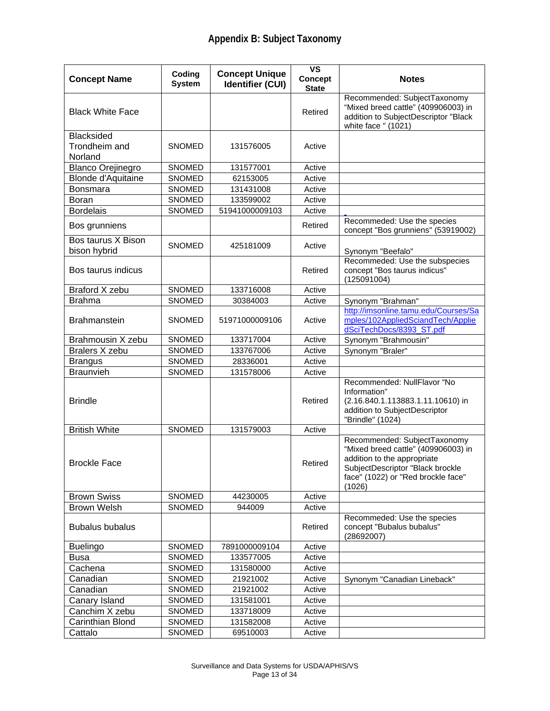| <b>Concept Name</b>                           | Coding<br><b>System</b> | <b>Concept Unique</b><br><b>Identifier (CUI)</b> | <b>VS</b><br><b>Concept</b> | <b>Notes</b>                                                                                                                                                                           |
|-----------------------------------------------|-------------------------|--------------------------------------------------|-----------------------------|----------------------------------------------------------------------------------------------------------------------------------------------------------------------------------------|
| <b>Black White Face</b>                       |                         |                                                  | <b>State</b><br>Retired     | Recommended: SubjectTaxonomy<br>"Mixed breed cattle" (409906003) in<br>addition to SubjectDescriptor "Black<br>white face " (1021)                                                     |
| <b>Blacksided</b><br>Trondheim and<br>Norland | SNOMED                  | 131576005                                        | Active                      |                                                                                                                                                                                        |
| <b>Blanco Orejinegro</b>                      | <b>SNOMED</b>           | 131577001                                        | Active                      |                                                                                                                                                                                        |
| <b>Blonde d'Aquitaine</b>                     | <b>SNOMED</b>           | 62153005                                         | Active                      |                                                                                                                                                                                        |
| Bonsmara                                      | SNOMED                  | 131431008                                        | Active                      |                                                                                                                                                                                        |
| Boran                                         | SNOMED                  | 133599002                                        | Active                      |                                                                                                                                                                                        |
| <b>Bordelais</b>                              | SNOMED                  | 51941000009103                                   | Active                      |                                                                                                                                                                                        |
| Bos grunniens                                 |                         |                                                  | Retired                     | Recommeded: Use the species<br>concept "Bos grunniens" (53919002)                                                                                                                      |
| Bos taurus X Bison<br>bison hybrid            | <b>SNOMED</b>           | 425181009                                        | Active                      | Synonym "Beefalo"                                                                                                                                                                      |
| Bos taurus indicus                            |                         |                                                  | Retired                     | Recommeded: Use the subspecies<br>concept "Bos taurus indicus"<br>(125091004)                                                                                                          |
| Braford X zebu                                | SNOMED                  | 133716008                                        | Active                      |                                                                                                                                                                                        |
| <b>Brahma</b>                                 | <b>SNOMED</b>           | 30384003                                         | Active                      | Synonym "Brahman"                                                                                                                                                                      |
| <b>Brahmanstein</b>                           | SNOMED                  | 51971000009106                                   | Active                      | http://imsonline.tamu.edu/Courses/Sa<br>mples/102AppliedSciandTech/Applie<br>dSciTechDocs/8393_ST.pdf                                                                                  |
| Brahmousin X zebu                             | SNOMED                  | 133717004                                        | Active                      | Synonym "Brahmousin"                                                                                                                                                                   |
| Bralers X zebu                                | SNOMED                  | 133767006                                        | Active                      | Synonym "Braler"                                                                                                                                                                       |
| <b>Brangus</b>                                | SNOMED                  | 28336001                                         | Active                      |                                                                                                                                                                                        |
| <b>Braunvieh</b>                              | SNOMED                  | 131578006                                        | Active                      |                                                                                                                                                                                        |
| <b>Brindle</b>                                |                         |                                                  | Retired                     | Recommended: NullFlavor "No<br>Information"<br>(2.16.840.1.113883.1.11.10610) in<br>addition to SubjectDescriptor<br>"Brindle" (1024)                                                  |
| <b>British White</b>                          | <b>SNOMED</b>           | 131579003                                        | Active                      |                                                                                                                                                                                        |
| <b>Brockle Face</b>                           |                         |                                                  | Retired                     | Recommended: SubjectTaxonomy<br>"Mixed breed cattle" (409906003) in<br>addition to the appropriate<br>SubjectDescriptor "Black brockle<br>face" (1022) or "Red brockle face"<br>(1026) |
| <b>Brown Swiss</b>                            | <b>SNOMED</b>           | 44230005                                         | Active                      |                                                                                                                                                                                        |
| <b>Brown Welsh</b>                            | <b>SNOMED</b>           | 944009                                           | Active                      |                                                                                                                                                                                        |
| <b>Bubalus bubalus</b>                        |                         |                                                  | Retired                     | Recommeded: Use the species<br>concept "Bubalus bubalus"<br>(28692007)                                                                                                                 |
| <b>Buelingo</b>                               | SNOMED                  | 7891000009104                                    | Active                      |                                                                                                                                                                                        |
| <b>Busa</b>                                   | SNOMED                  | 133577005                                        | Active                      |                                                                                                                                                                                        |
| Cachena                                       | SNOMED                  | 131580000                                        | Active                      |                                                                                                                                                                                        |
| Canadian                                      | <b>SNOMED</b>           | 21921002                                         | Active                      | Synonym "Canadian Lineback"                                                                                                                                                            |
| Canadian                                      | SNOMED                  | 21921002                                         | Active                      |                                                                                                                                                                                        |
| Canary Island                                 | SNOMED                  | 131581001                                        | Active                      |                                                                                                                                                                                        |
| Canchim X zebu                                | SNOMED                  | 133718009                                        | Active                      |                                                                                                                                                                                        |
| Carinthian Blond                              | SNOMED                  | 131582008                                        | Active                      |                                                                                                                                                                                        |
| Cattalo                                       | SNOMED                  | 69510003                                         | Active                      |                                                                                                                                                                                        |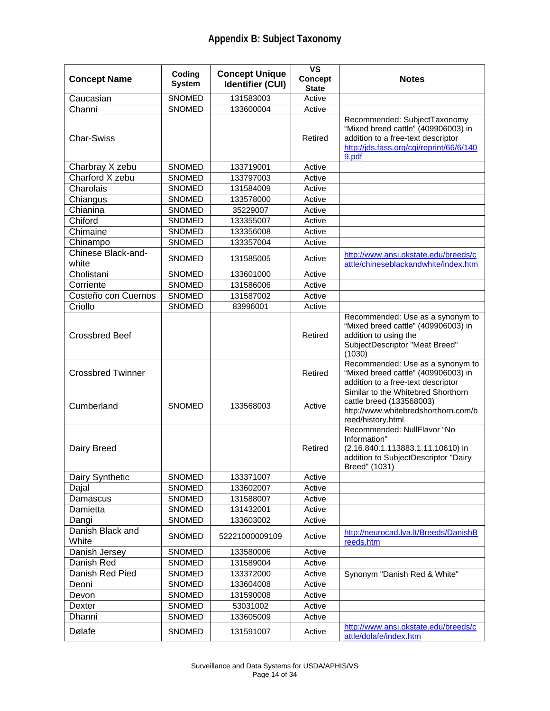| <b>Concept Name</b>         | Coding<br><b>System</b> | <b>Concept Unique</b><br><b>Identifier (CUI)</b> | <b>VS</b><br><b>Concept</b><br><b>State</b> | <b>Notes</b>                                                                                                                                                   |
|-----------------------------|-------------------------|--------------------------------------------------|---------------------------------------------|----------------------------------------------------------------------------------------------------------------------------------------------------------------|
| Caucasian                   | SNOMED                  | 131583003                                        | Active                                      |                                                                                                                                                                |
| Channi                      | <b>SNOMED</b>           | 133600004                                        | Active                                      |                                                                                                                                                                |
| <b>Char-Swiss</b>           |                         |                                                  | Retired                                     | Recommended: SubjectTaxonomy<br>"Mixed breed cattle" (409906003) in<br>addition to a free-text descriptor<br>http://jds.fass.org/cgi/reprint/66/6/140<br>9.pdf |
| Charbray X zebu             | SNOMED                  | 133719001                                        | Active                                      |                                                                                                                                                                |
| Charford X zebu             | SNOMED                  | 133797003                                        | Active                                      |                                                                                                                                                                |
| Charolais                   | <b>SNOMED</b>           | 131584009                                        | Active                                      |                                                                                                                                                                |
| Chiangus                    | SNOMED                  | 133578000                                        | Active                                      |                                                                                                                                                                |
| Chianina                    | SNOMED                  | 35229007                                         | Active                                      |                                                                                                                                                                |
| Chiford                     | SNOMED                  | 133355007                                        | Active                                      |                                                                                                                                                                |
| Chimaine                    | SNOMED                  | 133356008                                        | Active                                      |                                                                                                                                                                |
| Chinampo                    | SNOMED                  | 133357004                                        | Active                                      |                                                                                                                                                                |
| Chinese Black-and-<br>white | <b>SNOMED</b>           | 131585005                                        | Active                                      | http://www.ansi.okstate.edu/breeds/c<br>attle/chineseblackandwhite/index.htm                                                                                   |
| Cholistani                  | <b>SNOMED</b>           | 133601000                                        | Active                                      |                                                                                                                                                                |
| Corriente                   | SNOMED                  | 131586006                                        | Active                                      |                                                                                                                                                                |
| Costeño con Cuernos         | SNOMED                  | 131587002                                        | Active                                      |                                                                                                                                                                |
| Criollo                     | SNOMED                  | 83996001                                         | Active                                      |                                                                                                                                                                |
| <b>Crossbred Beef</b>       |                         |                                                  | Retired                                     | Recommended: Use as a synonym to<br>"Mixed breed cattle" (409906003) in<br>addition to using the<br>SubjectDescriptor "Meat Breed"<br>(1030)                   |
| <b>Crossbred Twinner</b>    |                         |                                                  | Retired                                     | Recommended: Use as a synonym to<br>"Mixed breed cattle" (409906003) in<br>addition to a free-text descriptor                                                  |
| Cumberland                  | <b>SNOMED</b>           | 133568003                                        | Active                                      | Similar to the Whitebred Shorthorn<br>cattle breed (133568003)<br>http://www.whitebredshorthorn.com/b<br>reed/history.html                                     |
| Dairy Breed                 |                         |                                                  | Retired                                     | Recommended: NullFlavor "No<br>Information"<br>(2.16.840.1.113883.1.11.10610) in<br>addition to SubjectDescriptor "Dairy<br>Breed" (1031)                      |
| Dairy Synthetic             | <b>SNOMED</b>           | 133371007                                        | Active                                      |                                                                                                                                                                |
| Dajal                       | <b>SNOMED</b>           | 133602007                                        | Active                                      |                                                                                                                                                                |
| Damascus                    | <b>SNOMED</b>           | 131588007                                        | Active                                      |                                                                                                                                                                |
| Damietta                    | <b>SNOMED</b>           | 131432001                                        | Active                                      |                                                                                                                                                                |
| Dangi                       | SNOMED                  | 133603002                                        | Active                                      |                                                                                                                                                                |
| Danish Black and<br>White   | SNOMED                  | 52221000009109                                   | Active                                      | http://neurocad.lva.lt/Breeds/DanishB<br>reeds.htm                                                                                                             |
| Danish Jersey               | <b>SNOMED</b>           | 133580006                                        | Active                                      |                                                                                                                                                                |
| Danish Red                  | <b>SNOMED</b>           | 131589004                                        | Active                                      |                                                                                                                                                                |
| Danish Red Pied             | SNOMED                  | 133372000                                        | Active                                      | Synonym "Danish Red & White"                                                                                                                                   |
| Deoni                       | SNOMED                  | 133604008                                        | Active                                      |                                                                                                                                                                |
| Devon                       | SNOMED                  | 131590008                                        | Active                                      |                                                                                                                                                                |
| Dexter                      | SNOMED                  | 53031002                                         | Active                                      |                                                                                                                                                                |
| Dhanni                      | SNOMED                  | 133605009                                        | Active                                      |                                                                                                                                                                |
| Dølafe                      | SNOMED                  | 131591007                                        | Active                                      | http://www.ansi.okstate.edu/breeds/c<br>attle/dolafe/index.htm                                                                                                 |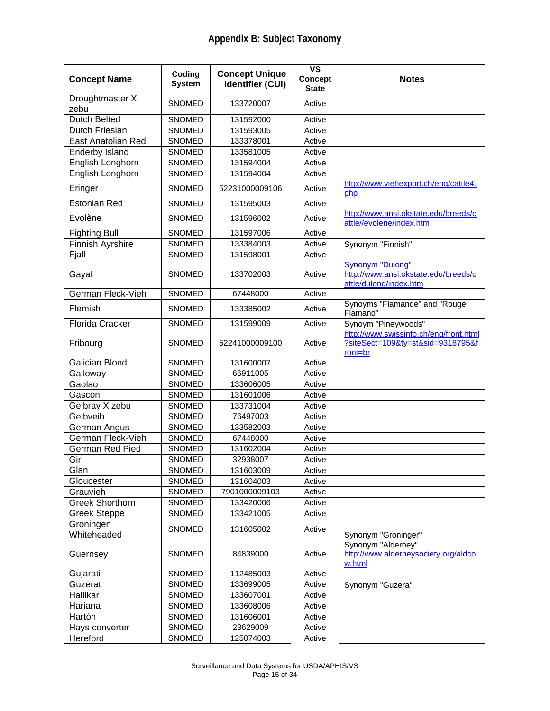| <b>Concept Name</b>      | Coding<br><b>System</b> | <b>Concept Unique</b><br><b>Identifier (CUI)</b> | <b>VS</b><br><b>Concept</b><br><b>State</b> | <b>Notes</b>                                                                           |
|--------------------------|-------------------------|--------------------------------------------------|---------------------------------------------|----------------------------------------------------------------------------------------|
| Droughtmaster X<br>zebu  | <b>SNOMED</b>           | 133720007                                        | Active                                      |                                                                                        |
| Dutch Belted             | <b>SNOMED</b>           | 131592000                                        | Active                                      |                                                                                        |
| Dutch Friesian           | <b>SNOMED</b>           | 131593005                                        | Active                                      |                                                                                        |
| East Anatolian Red       | <b>SNOMED</b>           | 133378001                                        | Active                                      |                                                                                        |
| <b>Enderby Island</b>    | <b>SNOMED</b>           | 133581005                                        | Active                                      |                                                                                        |
| English Longhorn         | <b>SNOMED</b>           | 131594004                                        | Active                                      |                                                                                        |
| English Longhorn         | <b>SNOMED</b>           | 131594004                                        | Active                                      |                                                                                        |
| Eringer                  | <b>SNOMED</b>           | 52231000009106                                   | Active                                      | http://www.viehexport.ch/eng/cattle4.<br>php                                           |
| <b>Estonian Red</b>      | SNOMED                  | 131595003                                        | Active                                      |                                                                                        |
| Evolène                  | <b>SNOMED</b>           | 131596002                                        | Active                                      | http://www.ansi.okstate.edu/breeds/c<br>attle//evolene/index.htm                       |
| <b>Fighting Bull</b>     | <b>SNOMED</b>           | 131597006                                        | Active                                      |                                                                                        |
| Finnish Ayrshire         | SNOMED                  | 133384003                                        | Active                                      | Synonym "Finnish"                                                                      |
| Fjall                    | <b>SNOMED</b>           | 131598001                                        | Active                                      |                                                                                        |
| Gayal                    | <b>SNOMED</b>           | 133702003                                        | Active                                      | Synonym "Dulong"<br>http://www.ansi.okstate.edu/breeds/c<br>attle/dulong/index.htm     |
| German Fleck-Vieh        | <b>SNOMED</b>           | 67448000                                         | Active                                      |                                                                                        |
| Flemish                  | <b>SNOMED</b>           | 133385002                                        | Active                                      | Synoyms "Flamande" and "Rouge<br>Flamand"                                              |
| Florida Cracker          | SNOMED                  | 131599009                                        | Active                                      | Synoym "Pineywoods"                                                                    |
| Fribourg                 | <b>SNOMED</b>           | 52241000009100                                   | Active                                      | http://www.swissinfo.ch/eng/front.html<br>?siteSect=109&ty=st&sid=9318795&f<br>ront=br |
| <b>Galician Blond</b>    | <b>SNOMED</b>           | 131600007                                        | Active                                      |                                                                                        |
| Galloway                 | <b>SNOMED</b>           | 66911005                                         | Active                                      |                                                                                        |
| Gaolao                   | <b>SNOMED</b>           | 133606005                                        | Active                                      |                                                                                        |
| Gascon                   | <b>SNOMED</b>           | 131601006                                        | Active                                      |                                                                                        |
| Gelbray X zebu           | <b>SNOMED</b>           | 133731004                                        | Active                                      |                                                                                        |
| Gelbveih                 | <b>SNOMED</b>           | 76497003                                         | Active                                      |                                                                                        |
| German Angus             | <b>SNOMED</b>           | 133582003                                        | Active                                      |                                                                                        |
| German Fleck-Vieh        | <b>SNOMED</b>           | 67448000                                         | Active                                      |                                                                                        |
| German Red Pied          | SNOMED                  | 131602004                                        | Active                                      |                                                                                        |
| Gir                      | <b>SNOMED</b>           | 32938007                                         | Active                                      |                                                                                        |
| Glan                     | <b>SNOMED</b>           | 131603009                                        | Active                                      |                                                                                        |
| Gloucester               | <b>SNOMED</b>           | 131604003                                        | Active                                      |                                                                                        |
| Grauvieh                 | <b>SNOMED</b>           | 7901000009103                                    | Active                                      |                                                                                        |
| <b>Greek Shorthorn</b>   | SNOMED                  | 133420006                                        | Active                                      |                                                                                        |
| <b>Greek Steppe</b>      | SNOMED                  | 133421005                                        | Active                                      |                                                                                        |
| Groningen<br>Whiteheaded | <b>SNOMED</b>           | 131605002                                        | Active                                      | Synonym "Groninger"                                                                    |
| Guernsey                 | SNOMED                  | 84839000                                         | Active                                      | Synonym "Alderney"<br>http://www.alderneysociety.org/aldco<br>w.html                   |
| Gujarati                 | SNOMED                  | 112485003                                        | Active                                      |                                                                                        |
| Guzerat                  | SNOMED                  | 133699005                                        | Active                                      | Synonym "Guzera"                                                                       |
| Hallikar                 | SNOMED                  | 133607001                                        | Active                                      |                                                                                        |
| Hariana                  | SNOMED                  | 133608006                                        | Active                                      |                                                                                        |
| Hartón                   | <b>SNOMED</b>           | 131606001                                        | Active                                      |                                                                                        |
| Hays converter           | SNOMED                  | 23629009                                         | Active                                      |                                                                                        |
| Hereford                 | <b>SNOMED</b>           | 125074003                                        | Active                                      |                                                                                        |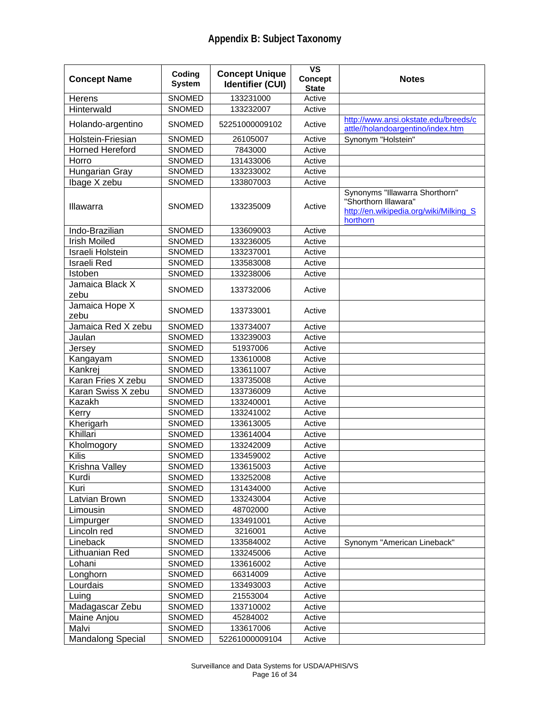| <b>Concept Name</b>      | Coding<br><b>System</b> | <b>Concept Unique</b><br><b>Identifier (CUI)</b> | $\overline{\mathsf{vs}}$<br><b>Concept</b><br><b>State</b> | <b>Notes</b>                                                                                                 |
|--------------------------|-------------------------|--------------------------------------------------|------------------------------------------------------------|--------------------------------------------------------------------------------------------------------------|
| Herens                   | <b>SNOMED</b>           | 133231000                                        | Active                                                     |                                                                                                              |
| Hinterwald               | SNOMED                  | 133232007                                        | Active                                                     |                                                                                                              |
| Holando-argentino        | <b>SNOMED</b>           | 52251000009102                                   | Active                                                     | http://www.ansi.okstate.edu/breeds/c<br>attle//holandoargentino/index.htm                                    |
| Holstein-Friesian        | <b>SNOMED</b>           | 26105007                                         | Active                                                     | Synonym "Holstein"                                                                                           |
| <b>Horned Hereford</b>   | SNOMED                  | 7843000                                          | Active                                                     |                                                                                                              |
| Horro                    | SNOMED                  | 131433006                                        | Active                                                     |                                                                                                              |
| Hungarian Gray           | SNOMED                  | 133233002                                        | Active                                                     |                                                                                                              |
| Ibage X zebu             | SNOMED                  | 133807003                                        | Active                                                     |                                                                                                              |
| Illawarra                | <b>SNOMED</b>           | 133235009                                        | Active                                                     | Synonyms "Illawarra Shorthorn"<br>"Shorthorn Illawara"<br>http://en.wikipedia.org/wiki/Milking_S<br>horthorn |
| Indo-Brazilian           | <b>SNOMED</b>           | 133609003                                        | Active                                                     |                                                                                                              |
| <b>Irish Moiled</b>      | SNOMED                  | 133236005                                        | Active                                                     |                                                                                                              |
| Israeli Holstein         | SNOMED                  | 133237001                                        | Active                                                     |                                                                                                              |
| <b>Israeli Red</b>       | SNOMED                  | 133583008                                        | Active                                                     |                                                                                                              |
| Istoben                  | SNOMED                  | 133238006                                        | Active                                                     |                                                                                                              |
| Jamaica Black X<br>zebu  | SNOMED                  | 133732006                                        | Active                                                     |                                                                                                              |
| Jamaica Hope X<br>zebu   | <b>SNOMED</b>           | 133733001                                        | Active                                                     |                                                                                                              |
| Jamaica Red X zebu       | <b>SNOMED</b>           | 133734007                                        | Active                                                     |                                                                                                              |
| Jaulan                   | <b>SNOMED</b>           | 133239003                                        | Active                                                     |                                                                                                              |
| Jersey                   | <b>SNOMED</b>           | 51937006                                         | Active                                                     |                                                                                                              |
| Kangayam                 | <b>SNOMED</b>           | 133610008                                        | Active                                                     |                                                                                                              |
| Kankrej                  | <b>SNOMED</b>           | 133611007                                        | Active                                                     |                                                                                                              |
| Karan Fries X zebu       | <b>SNOMED</b>           | 133735008                                        | Active                                                     |                                                                                                              |
| Karan Swiss X zebu       | <b>SNOMED</b>           | 133736009                                        | Active                                                     |                                                                                                              |
| Kazakh                   | <b>SNOMED</b>           | 133240001                                        | Active                                                     |                                                                                                              |
| Kerry                    | <b>SNOMED</b>           | 133241002                                        | Active                                                     |                                                                                                              |
| Kherigarh                | SNOMED                  | 133613005                                        | Active                                                     |                                                                                                              |
| Khillari                 | SNOMED                  | 133614004                                        | Active                                                     |                                                                                                              |
| Kholmogory               | <b>SNOMED</b>           | 133242009                                        | Active                                                     |                                                                                                              |
| Kilis                    | <b>SNOMED</b>           | 133459002                                        | Active                                                     |                                                                                                              |
| Krishna Valley           | SNOMED                  | 133615003                                        | Active                                                     |                                                                                                              |
| Kurdi                    | <b>SNOMED</b>           | 133252008                                        | Active                                                     |                                                                                                              |
| Kuri                     | SNOMED                  | 131434000                                        | Active                                                     |                                                                                                              |
| Latvian Brown            | SNOMED                  | 133243004                                        | Active                                                     |                                                                                                              |
| Limousin                 | SNOMED                  | 48702000                                         | Active                                                     |                                                                                                              |
| Limpurger                | SNOMED                  | 133491001                                        | Active                                                     |                                                                                                              |
| Lincoln red              | SNOMED                  | 3216001                                          | Active                                                     |                                                                                                              |
| Lineback                 | SNOMED                  | 133584002                                        | Active                                                     | Synonym "American Lineback"                                                                                  |
| Lithuanian Red           | SNOMED                  | 133245006                                        | Active                                                     |                                                                                                              |
| Lohani                   | SNOMED                  | 133616002                                        | Active                                                     |                                                                                                              |
| Longhorn                 | SNOMED                  | 66314009                                         | Active                                                     |                                                                                                              |
| Lourdais                 | SNOMED                  | 133493003                                        | Active                                                     |                                                                                                              |
| Luing                    | SNOMED                  | 21553004                                         | Active                                                     |                                                                                                              |
| Madagascar Zebu          | SNOMED                  | 133710002                                        | Active                                                     |                                                                                                              |
| Maine Anjou              | SNOMED                  | 45284002                                         | Active                                                     |                                                                                                              |
| Malvi                    | SNOMED                  | 133617006                                        | Active                                                     |                                                                                                              |
| <b>Mandalong Special</b> | SNOMED                  | 52261000009104                                   | Active                                                     |                                                                                                              |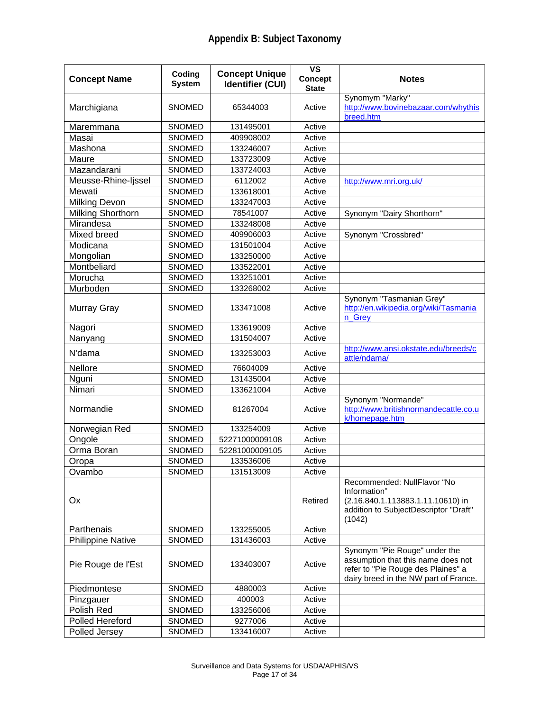| <b>Concept Name</b>      | Coding<br><b>System</b> | <b>Concept Unique</b><br><b>Identifier (CUI)</b> | $\overline{\mathsf{vs}}$<br><b>Concept</b><br><b>State</b> | <b>Notes</b>                                                                                                                                       |
|--------------------------|-------------------------|--------------------------------------------------|------------------------------------------------------------|----------------------------------------------------------------------------------------------------------------------------------------------------|
| Marchigiana              | <b>SNOMED</b>           | 65344003                                         | Active                                                     | Synomym "Marky"<br>http://www.bovinebazaar.com/whythis<br>breed.htm                                                                                |
| Maremmana                | SNOMED                  | 131495001                                        | Active                                                     |                                                                                                                                                    |
| Masai                    | <b>SNOMED</b>           | 409908002                                        | Active                                                     |                                                                                                                                                    |
| Mashona                  | SNOMED                  | 133246007                                        | Active                                                     |                                                                                                                                                    |
| Maure                    | SNOMED                  | 133723009                                        | Active                                                     |                                                                                                                                                    |
| Mazandarani              | SNOMED                  | 133724003                                        | Active                                                     |                                                                                                                                                    |
| Meusse-Rhine-Ijssel      | <b>SNOMED</b>           | 6112002                                          | Active                                                     | http://www.mri.org.uk/                                                                                                                             |
| Mewati                   | SNOMED                  | 133618001                                        | Active                                                     |                                                                                                                                                    |
| <b>Milking Devon</b>     | SNOMED                  | 133247003                                        | Active                                                     |                                                                                                                                                    |
| Milking Shorthorn        | SNOMED                  | 78541007                                         | Active                                                     | Synonym "Dairy Shorthorn"                                                                                                                          |
| Mirandesa                | SNOMED                  | 133248008                                        | Active                                                     |                                                                                                                                                    |
| Mixed breed              | SNOMED                  | 409906003                                        | Active                                                     | Synonym "Crossbred"                                                                                                                                |
| Modicana                 | SNOMED                  | 131501004                                        | Active                                                     |                                                                                                                                                    |
| Mongolian                | SNOMED                  | 133250000                                        | Active                                                     |                                                                                                                                                    |
| Montbeliard              | SNOMED                  | 133522001                                        | Active                                                     |                                                                                                                                                    |
| Morucha                  | SNOMED                  | 133251001                                        | Active                                                     |                                                                                                                                                    |
| Murboden                 | SNOMED                  | 133268002                                        | Active                                                     |                                                                                                                                                    |
| Murray Gray              | <b>SNOMED</b>           | 133471008                                        | Active                                                     | Synonym "Tasmanian Grey"<br>http://en.wikipedia.org/wiki/Tasmania<br>n Grey                                                                        |
| Nagori                   | SNOMED                  | 133619009                                        | Active                                                     |                                                                                                                                                    |
| Nanyang                  | <b>SNOMED</b>           | 131504007                                        | Active                                                     |                                                                                                                                                    |
| N'dama                   | <b>SNOMED</b>           | 133253003                                        | Active                                                     | http://www.ansi.okstate.edu/breeds/c<br>attle/ndama/                                                                                               |
| Nellore                  | <b>SNOMED</b>           | 76604009                                         | Active                                                     |                                                                                                                                                    |
| Nguni                    | SNOMED                  | 131435004                                        | Active                                                     |                                                                                                                                                    |
| Nimari                   | SNOMED                  | 133621004                                        | Active                                                     |                                                                                                                                                    |
| Normandie                | <b>SNOMED</b>           | 81267004                                         | Active                                                     | Synonym "Normande"<br>http://www.britishnormandecattle.co.u<br>k/homepage.htm                                                                      |
| Norwegian Red            | <b>SNOMED</b>           | 133254009                                        | Active                                                     |                                                                                                                                                    |
| Ongole                   | SNOMED                  | 52271000009108                                   | Active                                                     |                                                                                                                                                    |
| Orma Boran               | <b>SNOMED</b>           | 52281000009105                                   | Active                                                     |                                                                                                                                                    |
| Oropa                    | <b>SNOMED</b>           | 133536006                                        | Active                                                     |                                                                                                                                                    |
| Ovambo                   | <b>SNOMED</b>           | 131513009                                        | Active                                                     |                                                                                                                                                    |
| Ox                       |                         |                                                  | Retired                                                    | Recommended: NullFlavor "No<br>Information"<br>(2.16.840.1.113883.1.11.10610) in<br>addition to SubjectDescriptor "Draft"<br>(1042)                |
| Parthenais               | <b>SNOMED</b>           | 133255005                                        | Active                                                     |                                                                                                                                                    |
| <b>Philippine Native</b> | SNOMED                  | 131436003                                        | Active                                                     |                                                                                                                                                    |
| Pie Rouge de l'Est       | <b>SNOMED</b>           | 133403007                                        | Active                                                     | Synonym "Pie Rouge" under the<br>assumption that this name does not<br>refer to "Pie Rouge des Plaines" a<br>dairy breed in the NW part of France. |
| Piedmontese              | <b>SNOMED</b>           | 4880003                                          | Active                                                     |                                                                                                                                                    |
| Pinzgauer                | SNOMED                  | 400003                                           | Active                                                     |                                                                                                                                                    |
| Polish Red               | <b>SNOMED</b>           | 133256006                                        | Active                                                     |                                                                                                                                                    |
| Polled Hereford          | SNOMED                  | 9277006                                          | Active                                                     |                                                                                                                                                    |
| Polled Jersey            | SNOMED                  | 133416007                                        | Active                                                     |                                                                                                                                                    |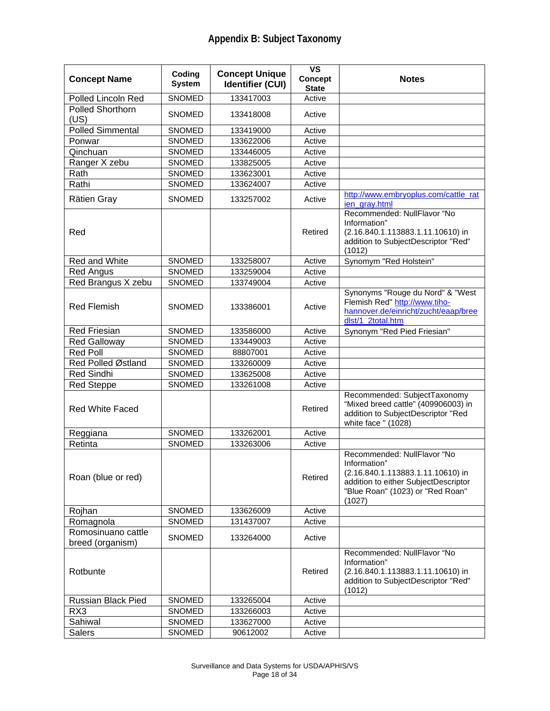| <b>Concept Name</b>                    | Coding<br><b>System</b> | <b>Concept Unique</b><br><b>Identifier (CUI)</b> | <b>VS</b><br><b>Concept</b><br><b>State</b> | <b>Notes</b>                                                                                                                                                           |
|----------------------------------------|-------------------------|--------------------------------------------------|---------------------------------------------|------------------------------------------------------------------------------------------------------------------------------------------------------------------------|
| <b>Polled Lincoln Red</b>              | SNOMED                  | 133417003                                        | Active                                      |                                                                                                                                                                        |
| Polled Shorthorn<br>(US)               | <b>SNOMED</b>           | 133418008                                        | Active                                      |                                                                                                                                                                        |
| <b>Polled Simmental</b>                | <b>SNOMED</b>           | 133419000                                        | Active                                      |                                                                                                                                                                        |
| Ponwar                                 | <b>SNOMED</b>           | 133622006                                        | Active                                      |                                                                                                                                                                        |
| Qinchuan                               | <b>SNOMED</b>           | 133446005                                        | Active                                      |                                                                                                                                                                        |
| Ranger X zebu                          | <b>SNOMED</b>           | 133825005                                        | Active                                      |                                                                                                                                                                        |
| Rath                                   | <b>SNOMED</b>           | 133623001                                        | Active                                      |                                                                                                                                                                        |
| Rathi                                  | <b>SNOMED</b>           | 133624007                                        | Active                                      |                                                                                                                                                                        |
| Rätien Gray                            | <b>SNOMED</b>           | 133257002                                        | Active                                      | http://www.embryoplus.com/cattle_rat<br>jen gray.html                                                                                                                  |
| Red                                    |                         |                                                  | Retired                                     | Recommended: NullFlavor "No<br>Information"<br>(2.16.840.1.113883.1.11.10610) in<br>addition to SubjectDescriptor "Red"<br>(1012)                                      |
| Red and White                          | <b>SNOMED</b>           | 133258007                                        | Active                                      | Synomym "Red Holstein"                                                                                                                                                 |
| <b>Red Angus</b>                       | SNOMED                  | 133259004                                        | Active                                      |                                                                                                                                                                        |
| Red Brangus X zebu                     | <b>SNOMED</b>           | 133749004                                        | Active                                      |                                                                                                                                                                        |
| <b>Red Flemish</b>                     | <b>SNOMED</b>           | 133386001                                        | Active                                      | Synonyms "Rouge du Nord" & "West<br>Flemish Red" http://www.tiho-<br>hannover.de/einricht/zucht/eaap/bree<br>dlst/1_2total.htm                                         |
| <b>Red Friesian</b>                    | SNOMED                  | 133586000                                        | Active                                      | Synonym "Red Pied Friesian"                                                                                                                                            |
| <b>Red Galloway</b>                    | <b>SNOMED</b>           | 133449003                                        | Active                                      |                                                                                                                                                                        |
| <b>Red Poll</b>                        | SNOMED                  | 88807001                                         | Active                                      |                                                                                                                                                                        |
| Red Polled Østland                     | <b>SNOMED</b>           | 133260009                                        | Active                                      |                                                                                                                                                                        |
| <b>Red Sindhi</b>                      | SNOMED                  | 133625008                                        | Active                                      |                                                                                                                                                                        |
| <b>Red Steppe</b>                      | <b>SNOMED</b>           | 133261008                                        | Active                                      |                                                                                                                                                                        |
| <b>Red White Faced</b>                 |                         |                                                  | Retired                                     | Recommended: SubjectTaxonomy<br>"Mixed breed cattle" (409906003) in<br>addition to SubjectDescriptor "Red<br>white face " (1028)                                       |
| Reggiana                               | SNOMED                  | 133262001                                        | Active                                      |                                                                                                                                                                        |
| Retinta                                | <b>SNOMED</b>           | 133263006                                        | Active                                      |                                                                                                                                                                        |
| Roan (blue or red)                     |                         |                                                  | Retired                                     | Recommended: NullFlavor "No<br>Information"<br>(2.16.840.1.113883.1.11.10610) in<br>addition to either SubjectDescriptor<br>"Blue Roan" (1023) or "Red Roan"<br>(1027) |
| Rojhan                                 | SNOMED                  | 133626009                                        | Active                                      |                                                                                                                                                                        |
| Romagnola                              | <b>SNOMED</b>           | 131437007                                        | Active                                      |                                                                                                                                                                        |
| Romosinuano cattle<br>breed (organism) | <b>SNOMED</b>           | 133264000                                        | Active                                      |                                                                                                                                                                        |
| Rotbunte                               |                         |                                                  | Retired                                     | Recommended: NullFlavor "No<br>Information"<br>(2.16.840.1.113883.1.11.10610) in<br>addition to SubjectDescriptor "Red"<br>(1012)                                      |
| <b>Russian Black Pied</b>              | SNOMED                  | 133265004                                        | Active                                      |                                                                                                                                                                        |
| RX3                                    | <b>SNOMED</b>           | 133266003                                        | Active                                      |                                                                                                                                                                        |
| Sahiwal                                | SNOMED                  | 133627000                                        | Active                                      |                                                                                                                                                                        |
| <b>Salers</b>                          | SNOMED                  | 90612002                                         | Active                                      |                                                                                                                                                                        |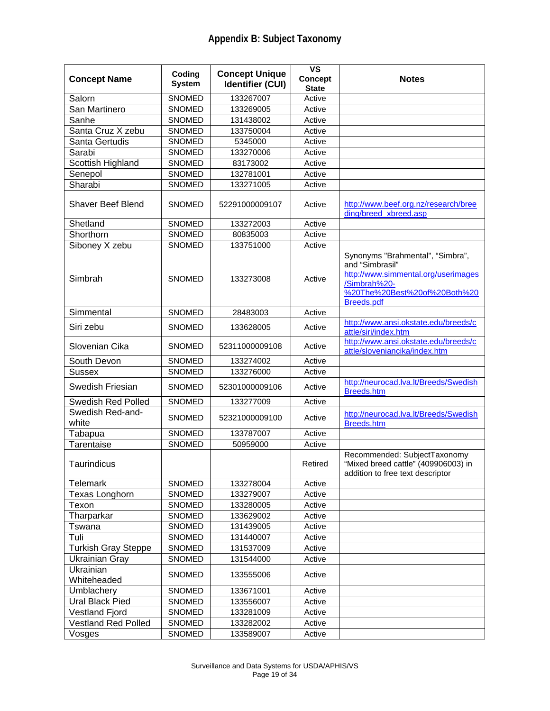| <b>Concept Name</b>        | Coding<br><b>System</b> | <b>Concept Unique</b><br><b>Identifier (CUI)</b> | <b>VS</b><br>Concept<br><b>State</b> | <b>Notes</b>                                                                                                                                                    |
|----------------------------|-------------------------|--------------------------------------------------|--------------------------------------|-----------------------------------------------------------------------------------------------------------------------------------------------------------------|
| Salorn                     | <b>SNOMED</b>           | 133267007                                        | Active                               |                                                                                                                                                                 |
| San Martinero              | <b>SNOMED</b>           | 133269005                                        | Active                               |                                                                                                                                                                 |
| Sanhe                      | <b>SNOMED</b>           | 131438002                                        | Active                               |                                                                                                                                                                 |
| Santa Cruz X zebu          | <b>SNOMED</b>           | 133750004                                        | Active                               |                                                                                                                                                                 |
| Santa Gertudis             | <b>SNOMED</b>           | 5345000                                          | Active                               |                                                                                                                                                                 |
| Sarabi                     | <b>SNOMED</b>           | 133270006                                        | Active                               |                                                                                                                                                                 |
| Scottish Highland          | <b>SNOMED</b>           | 83173002                                         | Active                               |                                                                                                                                                                 |
| Senepol                    | <b>SNOMED</b>           | 132781001                                        | Active                               |                                                                                                                                                                 |
| Sharabi                    | <b>SNOMED</b>           | 133271005                                        | Active                               |                                                                                                                                                                 |
| Shaver Beef Blend          | SNOMED                  | 52291000009107                                   | Active                               | http://www.beef.org.nz/research/bree<br>ding/breed_xbreed.asp                                                                                                   |
| Shetland                   | SNOMED                  | 133272003                                        | Active                               |                                                                                                                                                                 |
| Shorthorn                  | SNOMED                  | 80835003                                         | Active                               |                                                                                                                                                                 |
| Siboney X zebu             | SNOMED                  | 133751000                                        | Active                               |                                                                                                                                                                 |
| Simbrah                    | <b>SNOMED</b>           | 133273008                                        | Active                               | Synonyms "Brahmental", "Simbra",<br>and "Simbrasil"<br>http://www.simmental.org/userimages<br>/Simbrah%20-<br>%20The%20Best%20of%20Both%20<br><b>Breeds.pdf</b> |
| Simmental                  | SNOMED                  | 28483003                                         | Active                               |                                                                                                                                                                 |
| Siri zebu                  | <b>SNOMED</b>           | 133628005                                        | Active                               | http://www.ansi.okstate.edu/breeds/c<br>attle/siri/index.htm                                                                                                    |
| Slovenian Cika             | <b>SNOMED</b>           | 52311000009108                                   | Active                               | http://www.ansi.okstate.edu/breeds/c<br>attle/sloveniancika/index.htm                                                                                           |
| South Devon                | <b>SNOMED</b>           | 133274002                                        | Active                               |                                                                                                                                                                 |
| <b>Sussex</b>              | SNOMED                  | 133276000                                        | Active                               |                                                                                                                                                                 |
| Swedish Friesian           | <b>SNOMED</b>           | 52301000009106                                   | Active                               | http://neurocad.lva.lt/Breeds/Swedish<br><b>Breeds.htm</b>                                                                                                      |
| <b>Swedish Red Polled</b>  | SNOMED                  | 133277009                                        | Active                               |                                                                                                                                                                 |
| Swedish Red-and-<br>white  | <b>SNOMED</b>           | 52321000009100                                   | Active                               | http://neurocad.lva.lt/Breeds/Swedish<br><b>Breeds.htm</b>                                                                                                      |
| Tabapua                    | SNOMED                  | 133787007                                        | Active                               |                                                                                                                                                                 |
| <b>Tarentaise</b>          | <b>SNOMED</b>           | 50959000                                         | Active                               |                                                                                                                                                                 |
| Taurindicus                |                         |                                                  | Retired                              | Recommended: SubjectTaxonomy<br>"Mixed breed cattle" (409906003) in<br>addition to free text descriptor                                                         |
| Telemark                   | SNOMED                  | 133278004                                        | Active                               |                                                                                                                                                                 |
| Texas Longhorn             | <b>SNOMED</b>           | 133279007                                        | Active                               |                                                                                                                                                                 |
| Texon                      | <b>SNOMED</b>           | 133280005                                        | Active                               |                                                                                                                                                                 |
| Tharparkar                 | SNOMED                  | 133629002                                        | Active                               |                                                                                                                                                                 |
| Tswana                     | SNOMED                  | 131439005                                        | Active                               |                                                                                                                                                                 |
| Tuli                       | SNOMED                  | 131440007                                        | Active                               |                                                                                                                                                                 |
| <b>Turkish Gray Steppe</b> | SNOMED                  | 131537009                                        | Active                               |                                                                                                                                                                 |
| <b>Ukrainian Gray</b>      | SNOMED                  | 131544000                                        | Active                               |                                                                                                                                                                 |
| Ukrainian<br>Whiteheaded   | <b>SNOMED</b>           | 133555006                                        | Active                               |                                                                                                                                                                 |
| Umblachery                 | <b>SNOMED</b>           | 133671001                                        | Active                               |                                                                                                                                                                 |
| Ural Black Pied            | <b>SNOMED</b>           | 133556007                                        | Active                               |                                                                                                                                                                 |
| Vestland Fjord             | <b>SNOMED</b>           | 133281009                                        | Active                               |                                                                                                                                                                 |
| Vestland Red Polled        | SNOMED                  | 133282002                                        | Active                               |                                                                                                                                                                 |
| Vosges                     | <b>SNOMED</b>           | 133589007                                        | Active                               |                                                                                                                                                                 |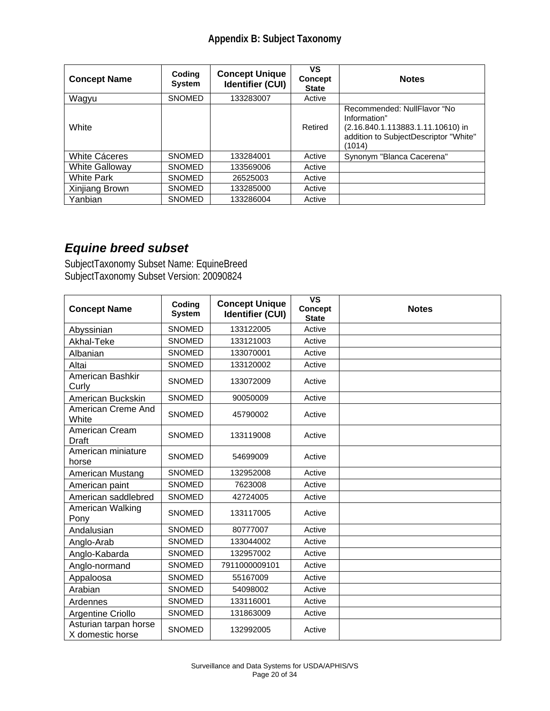| <b>Concept Name</b>   | Coding<br><b>System</b> | <b>Concept Unique</b><br><b>Identifier (CUI)</b> | VS<br><b>Concept</b><br><b>State</b> | <b>Notes</b>                                                                                                                        |
|-----------------------|-------------------------|--------------------------------------------------|--------------------------------------|-------------------------------------------------------------------------------------------------------------------------------------|
| Wagyu                 | <b>SNOMED</b>           | 133283007                                        | Active                               |                                                                                                                                     |
| White                 |                         |                                                  | Retired                              | Recommended: NullFlavor "No<br>Information"<br>(2.16.840.1.113883.1.11.10610) in<br>addition to SubjectDescriptor "White"<br>(1014) |
| White Cáceres         | <b>SNOMED</b>           | 133284001                                        | Active                               | Synonym "Blanca Cacerena"                                                                                                           |
| <b>White Galloway</b> | <b>SNOMED</b>           | 133569006                                        | Active                               |                                                                                                                                     |
| <b>White Park</b>     | <b>SNOMED</b>           | 26525003                                         | Active                               |                                                                                                                                     |
| Xinjiang Brown        | <b>SNOMED</b>           | 133285000                                        | Active                               |                                                                                                                                     |
| Yanbian               | <b>SNOMED</b>           | 133286004                                        | Active                               |                                                                                                                                     |

## *Equine breed subset*

SubjectTaxonomy Subset Name: EquineBreed SubjectTaxonomy Subset Version: 20090824

| <b>Concept Name</b>                       | Coding<br><b>System</b> | <b>Concept Unique</b><br><b>Identifier (CUI)</b> | <b>VS</b><br><b>Concept</b><br><b>State</b> | <b>Notes</b> |
|-------------------------------------------|-------------------------|--------------------------------------------------|---------------------------------------------|--------------|
| Abyssinian                                | <b>SNOMED</b>           | 133122005                                        | Active                                      |              |
| Akhal-Teke                                | <b>SNOMED</b>           | 133121003                                        | Active                                      |              |
| Albanian                                  | <b>SNOMED</b>           | 133070001                                        | Active                                      |              |
| Altai                                     | <b>SNOMED</b>           | 133120002                                        | Active                                      |              |
| American Bashkir<br>Curly                 | <b>SNOMED</b>           | 133072009                                        | Active                                      |              |
| American Buckskin                         | <b>SNOMED</b>           | 90050009                                         | Active                                      |              |
| American Creme And<br>White               | <b>SNOMED</b>           | 45790002                                         | Active                                      |              |
| American Cream<br>Draft                   | <b>SNOMED</b>           | 133119008                                        | Active                                      |              |
| American miniature<br>horse               | <b>SNOMED</b>           | 54699009                                         | Active                                      |              |
| American Mustang                          | <b>SNOMED</b>           | 132952008                                        | Active                                      |              |
| American paint                            | <b>SNOMED</b>           | 7623008                                          | Active                                      |              |
| American saddlebred                       | SNOMED                  | 42724005                                         | Active                                      |              |
| American Walking<br>Pony                  | <b>SNOMED</b>           | 133117005                                        | Active                                      |              |
| Andalusian                                | <b>SNOMED</b>           | 80777007                                         | Active                                      |              |
| Anglo-Arab                                | <b>SNOMED</b>           | 133044002                                        | Active                                      |              |
| Anglo-Kabarda                             | <b>SNOMED</b>           | 132957002                                        | Active                                      |              |
| Anglo-normand                             | SNOMED                  | 7911000009101                                    | Active                                      |              |
| Appaloosa                                 | SNOMED                  | 55167009                                         | Active                                      |              |
| Arabian                                   | <b>SNOMED</b>           | 54098002                                         | Active                                      |              |
| Ardennes                                  | <b>SNOMED</b>           | 133116001                                        | Active                                      |              |
| Argentine Criollo                         | <b>SNOMED</b>           | 131863009                                        | Active                                      |              |
| Asturian tarpan horse<br>X domestic horse | <b>SNOMED</b>           | 132992005                                        | Active                                      |              |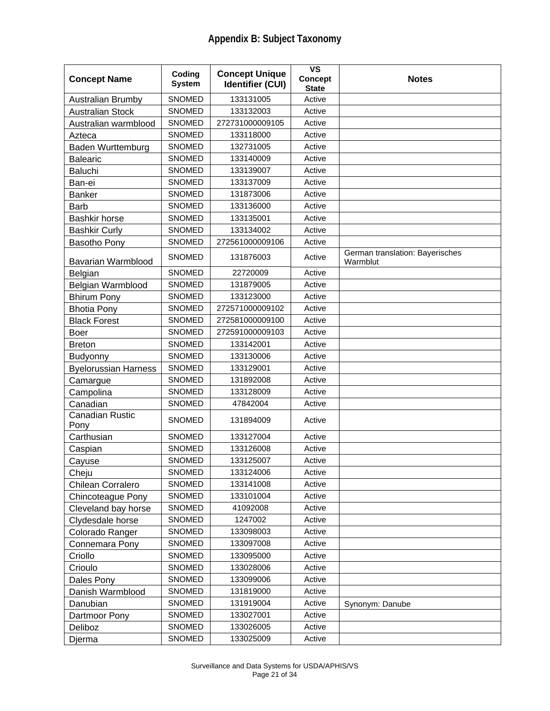| <b>Concept Name</b>         | Coding<br><b>System</b> | <b>Concept Unique</b><br><b>Identifier (CUI)</b> | $\overline{\mathsf{vs}}$<br>Concept<br><b>State</b> | <b>Notes</b>                                |
|-----------------------------|-------------------------|--------------------------------------------------|-----------------------------------------------------|---------------------------------------------|
| Australian Brumby           | <b>SNOMED</b>           | 133131005                                        | Active                                              |                                             |
| <b>Australian Stock</b>     | SNOMED                  | 133132003                                        | Active                                              |                                             |
| Australian warmblood        | <b>SNOMED</b>           | 272731000009105                                  | Active                                              |                                             |
| Azteca                      | <b>SNOMED</b>           | 133118000                                        | Active                                              |                                             |
| <b>Baden Wurttemburg</b>    | SNOMED                  | 132731005                                        | Active                                              |                                             |
| <b>Balearic</b>             | SNOMED                  | 133140009                                        | Active                                              |                                             |
| Baluchi                     | SNOMED                  | 133139007                                        | Active                                              |                                             |
| Ban-ei                      | SNOMED                  | 133137009                                        | Active                                              |                                             |
| <b>Banker</b>               | <b>SNOMED</b>           | 131873006                                        | Active                                              |                                             |
| <b>Barb</b>                 | <b>SNOMED</b>           | 133136000                                        | Active                                              |                                             |
| <b>Bashkir horse</b>        | SNOMED                  | 133135001                                        | Active                                              |                                             |
| <b>Bashkir Curly</b>        | SNOMED                  | 133134002                                        | Active                                              |                                             |
| Basotho Pony                | SNOMED                  | 272561000009106                                  | Active                                              |                                             |
| Bavarian Warmblood          | <b>SNOMED</b>           | 131876003                                        | Active                                              | German translation: Bayerisches<br>Warmblut |
| Belgian                     | <b>SNOMED</b>           | 22720009                                         | Active                                              |                                             |
| Belgian Warmblood           | SNOMED                  | 131879005                                        | Active                                              |                                             |
| <b>Bhirum Pony</b>          | <b>SNOMED</b>           | 133123000                                        | Active                                              |                                             |
| <b>Bhotia Pony</b>          | <b>SNOMED</b>           | 272571000009102                                  | Active                                              |                                             |
| <b>Black Forest</b>         | SNOMED                  | 272581000009100                                  | Active                                              |                                             |
| Boer                        | <b>SNOMED</b>           | 272591000009103                                  | Active                                              |                                             |
| <b>Breton</b>               | SNOMED                  | 133142001                                        | Active                                              |                                             |
| Budyonny                    | <b>SNOMED</b>           | 133130006                                        | Active                                              |                                             |
| <b>Byelorussian Harness</b> | <b>SNOMED</b>           | 133129001                                        | Active                                              |                                             |
| Camargue                    | <b>SNOMED</b>           | 131892008                                        | Active                                              |                                             |
| Campolina                   | SNOMED                  | 133128009                                        | Active                                              |                                             |
| Canadian                    | SNOMED                  | 47842004                                         | Active                                              |                                             |
| Canadian Rustic             | <b>SNOMED</b>           | 131894009                                        | Active                                              |                                             |
| Pony<br>Carthusian          | <b>SNOMED</b>           | 133127004                                        | Active                                              |                                             |
| Caspian                     | SNOMED                  | 133126008                                        | Active                                              |                                             |
| Cayuse                      | SNOMED                  | 133125007                                        | Active                                              |                                             |
| Cheju                       | SNOMED                  | 133124006                                        | Active                                              |                                             |
| Chilean Corralero           | SNOMED                  | 133141008                                        | Active                                              |                                             |
| Chincoteague Pony           | <b>SNOMED</b>           | 133101004                                        | Active                                              |                                             |
| Cleveland bay horse         | SNOMED                  | 41092008                                         | Active                                              |                                             |
| Clydesdale horse            | SNOMED                  | 1247002                                          | Active                                              |                                             |
| Colorado Ranger             | SNOMED                  | 133098003                                        | Active                                              |                                             |
| Connemara Pony              | SNOMED                  | 133097008                                        | Active                                              |                                             |
| Criollo                     | SNOMED                  | 133095000                                        | Active                                              |                                             |
| Crioulo                     | SNOMED                  | 133028006                                        | Active                                              |                                             |
| Dales Pony                  | <b>SNOMED</b>           | 133099006                                        | Active                                              |                                             |
| Danish Warmblood            | SNOMED                  | 131819000                                        | Active                                              |                                             |
| Danubian                    | SNOMED                  | 131919004                                        | Active                                              | Synonym: Danube                             |
| Dartmoor Pony               | SNOMED                  | 133027001                                        | Active                                              |                                             |
| Deliboz                     | SNOMED                  | 133026005                                        | Active                                              |                                             |
| Djerma                      | SNOMED                  | 133025009                                        | Active                                              |                                             |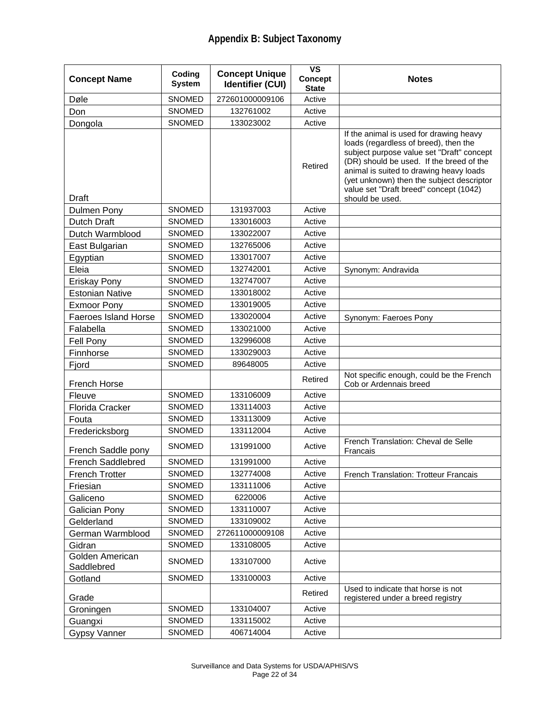| <b>Concept Name</b>           | Coding<br><b>System</b> | <b>Concept Unique</b><br><b>Identifier (CUI)</b> | $\overline{\mathsf{vs}}$<br><b>Concept</b><br><b>State</b> | <b>Notes</b>                                                                                                                                                                                                                                                                                                                   |
|-------------------------------|-------------------------|--------------------------------------------------|------------------------------------------------------------|--------------------------------------------------------------------------------------------------------------------------------------------------------------------------------------------------------------------------------------------------------------------------------------------------------------------------------|
| Døle                          | SNOMED                  | 272601000009106                                  | Active                                                     |                                                                                                                                                                                                                                                                                                                                |
| Don                           | <b>SNOMED</b>           | 132761002                                        | Active                                                     |                                                                                                                                                                                                                                                                                                                                |
| Dongola                       | <b>SNOMED</b>           | 133023002                                        | Active                                                     |                                                                                                                                                                                                                                                                                                                                |
| Draft                         |                         |                                                  | Retired                                                    | If the animal is used for drawing heavy<br>loads (regardless of breed), then the<br>subject purpose value set "Draft" concept<br>(DR) should be used. If the breed of the<br>animal is suited to drawing heavy loads<br>(yet unknown) then the subject descriptor<br>value set "Draft breed" concept (1042)<br>should be used. |
| Dulmen Pony                   | <b>SNOMED</b>           | 131937003                                        | Active                                                     |                                                                                                                                                                                                                                                                                                                                |
| Dutch Draft                   | <b>SNOMED</b>           | 133016003                                        | Active                                                     |                                                                                                                                                                                                                                                                                                                                |
| Dutch Warmblood               | <b>SNOMED</b>           | 133022007                                        | Active                                                     |                                                                                                                                                                                                                                                                                                                                |
| East Bulgarian                | <b>SNOMED</b>           | 132765006                                        | Active                                                     |                                                                                                                                                                                                                                                                                                                                |
| Egyptian                      | <b>SNOMED</b>           | 133017007                                        | Active                                                     |                                                                                                                                                                                                                                                                                                                                |
| Eleia                         | <b>SNOMED</b>           | 132742001                                        | Active                                                     | Synonym: Andravida                                                                                                                                                                                                                                                                                                             |
| Eriskay Pony                  | <b>SNOMED</b>           | 132747007                                        | Active                                                     |                                                                                                                                                                                                                                                                                                                                |
| <b>Estonian Native</b>        | <b>SNOMED</b>           | 133018002                                        | Active                                                     |                                                                                                                                                                                                                                                                                                                                |
| <b>Exmoor Pony</b>            | <b>SNOMED</b>           | 133019005                                        | Active                                                     |                                                                                                                                                                                                                                                                                                                                |
| <b>Faeroes Island Horse</b>   | <b>SNOMED</b>           | 133020004                                        | Active                                                     | Synonym: Faeroes Pony                                                                                                                                                                                                                                                                                                          |
| Falabella                     | <b>SNOMED</b>           | 133021000                                        | Active                                                     |                                                                                                                                                                                                                                                                                                                                |
| Fell Pony                     | <b>SNOMED</b>           | 132996008                                        | Active                                                     |                                                                                                                                                                                                                                                                                                                                |
| Finnhorse                     | <b>SNOMED</b>           | 133029003                                        | Active                                                     |                                                                                                                                                                                                                                                                                                                                |
| Fjord                         | <b>SNOMED</b>           | 89648005                                         | Active                                                     |                                                                                                                                                                                                                                                                                                                                |
| French Horse                  |                         |                                                  | Retired                                                    | Not specific enough, could be the French<br>Cob or Ardennais breed                                                                                                                                                                                                                                                             |
| Fleuve                        | <b>SNOMED</b>           | 133106009                                        | Active                                                     |                                                                                                                                                                                                                                                                                                                                |
| Florida Cracker               | <b>SNOMED</b>           | 133114003                                        | Active                                                     |                                                                                                                                                                                                                                                                                                                                |
| Fouta                         | <b>SNOMED</b>           | 133113009                                        | Active                                                     |                                                                                                                                                                                                                                                                                                                                |
| Fredericksborg                | <b>SNOMED</b>           | 133112004                                        | Active                                                     |                                                                                                                                                                                                                                                                                                                                |
| French Saddle pony            | <b>SNOMED</b>           | 131991000                                        | Active                                                     | French Translation: Cheval de Selle<br>Francais                                                                                                                                                                                                                                                                                |
| French Saddlebred             | <b>SNOMED</b>           | 131991000                                        | Active                                                     |                                                                                                                                                                                                                                                                                                                                |
| <b>French Trotter</b>         | SNOMED                  | 132774008                                        | Active                                                     | French Translation: Trotteur Francais                                                                                                                                                                                                                                                                                          |
| Friesian                      | SNOMED                  | 133111006                                        | Active                                                     |                                                                                                                                                                                                                                                                                                                                |
| Galiceno                      | SNOMED                  | 6220006                                          | Active                                                     |                                                                                                                                                                                                                                                                                                                                |
| <b>Galician Pony</b>          | SNOMED                  | 133110007                                        | Active                                                     |                                                                                                                                                                                                                                                                                                                                |
| Gelderland                    | SNOMED                  | 133109002                                        | Active                                                     |                                                                                                                                                                                                                                                                                                                                |
| German Warmblood              | SNOMED                  | 272611000009108                                  | Active                                                     |                                                                                                                                                                                                                                                                                                                                |
| Gidran                        | SNOMED                  | 133108005                                        | Active                                                     |                                                                                                                                                                                                                                                                                                                                |
| Golden American<br>Saddlebred | <b>SNOMED</b>           | 133107000                                        | Active                                                     |                                                                                                                                                                                                                                                                                                                                |
| Gotland                       | <b>SNOMED</b>           | 133100003                                        | Active                                                     |                                                                                                                                                                                                                                                                                                                                |
| Grade                         |                         |                                                  | Retired                                                    | Used to indicate that horse is not<br>registered under a breed registry                                                                                                                                                                                                                                                        |
| Groningen                     | <b>SNOMED</b>           | 133104007                                        | Active                                                     |                                                                                                                                                                                                                                                                                                                                |
| Guangxi                       | SNOMED                  | 133115002                                        | Active                                                     |                                                                                                                                                                                                                                                                                                                                |
| <b>Gypsy Vanner</b>           | SNOMED                  | 406714004                                        | Active                                                     |                                                                                                                                                                                                                                                                                                                                |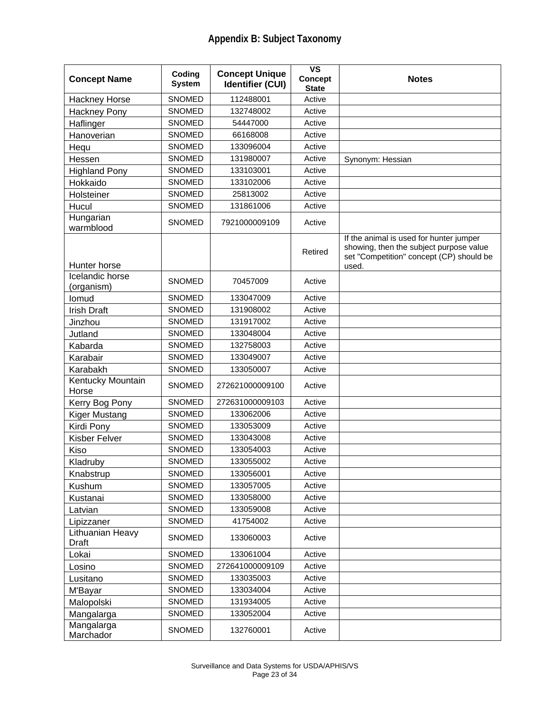| <b>Concept Name</b>           | Coding<br><b>System</b> | <b>Concept Unique</b><br><b>Identifier (CUI)</b> | $\overline{\mathsf{vs}}$<br><b>Concept</b><br><b>State</b> | <b>Notes</b>                                                                                                                            |
|-------------------------------|-------------------------|--------------------------------------------------|------------------------------------------------------------|-----------------------------------------------------------------------------------------------------------------------------------------|
| Hackney Horse                 | <b>SNOMED</b>           | 112488001                                        | Active                                                     |                                                                                                                                         |
| <b>Hackney Pony</b>           | <b>SNOMED</b>           | 132748002                                        | Active                                                     |                                                                                                                                         |
| Haflinger                     | <b>SNOMED</b>           | 54447000                                         | Active                                                     |                                                                                                                                         |
| Hanoverian                    | <b>SNOMED</b>           | 66168008                                         | Active                                                     |                                                                                                                                         |
| Hequ                          | <b>SNOMED</b>           | 133096004                                        | Active                                                     |                                                                                                                                         |
| Hessen                        | <b>SNOMED</b>           | 131980007                                        | Active                                                     | Synonym: Hessian                                                                                                                        |
| <b>Highland Pony</b>          | <b>SNOMED</b>           | 133103001                                        | Active                                                     |                                                                                                                                         |
| Hokkaido                      | SNOMED                  | 133102006                                        | Active                                                     |                                                                                                                                         |
| Holsteiner                    | <b>SNOMED</b>           | 25813002                                         | Active                                                     |                                                                                                                                         |
| Hucul                         | <b>SNOMED</b>           | 131861006                                        | Active                                                     |                                                                                                                                         |
| Hungarian<br>warmblood        | <b>SNOMED</b>           | 7921000009109                                    | Active                                                     |                                                                                                                                         |
| Hunter horse                  |                         |                                                  | Retired                                                    | If the animal is used for hunter jumper<br>showing, then the subject purpose value<br>set "Competition" concept (CP) should be<br>used. |
| Icelandic horse<br>(organism) | <b>SNOMED</b>           | 70457009                                         | Active                                                     |                                                                                                                                         |
| lomud                         | <b>SNOMED</b>           | 133047009                                        | Active                                                     |                                                                                                                                         |
| <b>Irish Draft</b>            | SNOMED                  | 131908002                                        | Active                                                     |                                                                                                                                         |
| Jinzhou                       | <b>SNOMED</b>           | 131917002                                        | Active                                                     |                                                                                                                                         |
| Jutland                       | <b>SNOMED</b>           | 133048004                                        | Active                                                     |                                                                                                                                         |
| Kabarda                       | <b>SNOMED</b>           | 132758003                                        | Active                                                     |                                                                                                                                         |
| Karabair                      | SNOMED                  | 133049007                                        | Active                                                     |                                                                                                                                         |
| Karabakh                      | SNOMED                  | 133050007                                        | Active                                                     |                                                                                                                                         |
| Kentucky Mountain<br>Horse    | <b>SNOMED</b>           | 272621000009100                                  | Active                                                     |                                                                                                                                         |
| Kerry Bog Pony                | <b>SNOMED</b>           | 272631000009103                                  | Active                                                     |                                                                                                                                         |
| <b>Kiger Mustang</b>          | <b>SNOMED</b>           | 133062006                                        | Active                                                     |                                                                                                                                         |
| Kirdi Pony                    | SNOMED                  | 133053009                                        | Active                                                     |                                                                                                                                         |
| <b>Kisber Felver</b>          | <b>SNOMED</b>           | 133043008                                        | Active                                                     |                                                                                                                                         |
| Kiso                          | SNOMED                  | 133054003                                        | Active                                                     |                                                                                                                                         |
| Kladruby                      | <b>SNOMED</b>           | 133055002                                        | Active                                                     |                                                                                                                                         |
| Knabstrup                     | SNOMED                  | 133056001                                        | Active                                                     |                                                                                                                                         |
| Kushum                        | SNOMED                  | 133057005                                        | Active                                                     |                                                                                                                                         |
| Kustanai                      | SNOMED                  | 133058000                                        | Active                                                     |                                                                                                                                         |
| Latvian                       | SNOMED                  | 133059008                                        | Active                                                     |                                                                                                                                         |
| Lipizzaner                    | SNOMED                  | 41754002                                         | Active                                                     |                                                                                                                                         |
| Lithuanian Heavy<br>Draft     | SNOMED                  | 133060003                                        | Active                                                     |                                                                                                                                         |
| Lokai                         | SNOMED                  | 133061004                                        | Active                                                     |                                                                                                                                         |
| Losino                        | SNOMED                  | 272641000009109                                  | Active                                                     |                                                                                                                                         |
| Lusitano                      | SNOMED                  | 133035003                                        | Active                                                     |                                                                                                                                         |
| M'Bayar                       | SNOMED                  | 133034004                                        | Active                                                     |                                                                                                                                         |
| Malopolski                    | SNOMED                  | 131934005                                        | Active                                                     |                                                                                                                                         |
| Mangalarga                    | SNOMED                  | 133052004                                        | Active                                                     |                                                                                                                                         |
| Mangalarga<br>Marchador       | SNOMED                  | 132760001                                        | Active                                                     |                                                                                                                                         |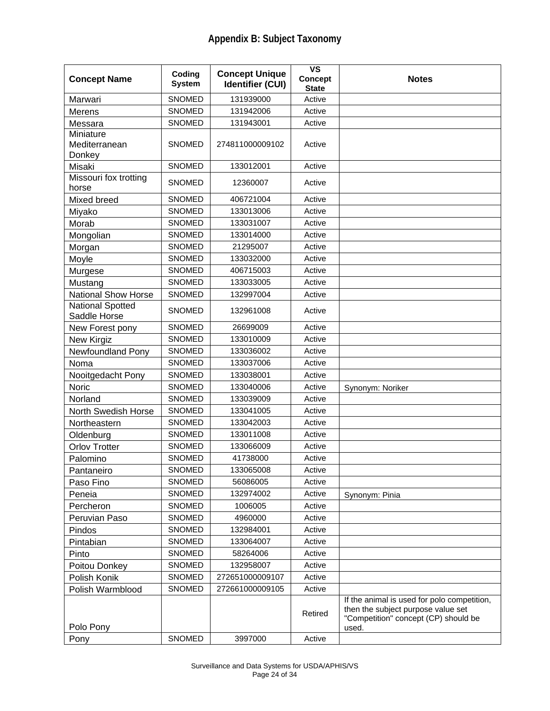| <b>Concept Name</b>                     | Coding<br><b>System</b> | <b>Concept Unique</b><br><b>Identifier (CUI)</b> | $\overline{\mathsf{vs}}$<br><b>Concept</b><br><b>State</b> | <b>Notes</b>                                                                                                                       |
|-----------------------------------------|-------------------------|--------------------------------------------------|------------------------------------------------------------|------------------------------------------------------------------------------------------------------------------------------------|
| Marwari                                 | <b>SNOMED</b>           | 131939000                                        | Active                                                     |                                                                                                                                    |
| <b>Merens</b>                           | SNOMED                  | 131942006                                        | Active                                                     |                                                                                                                                    |
| Messara                                 | <b>SNOMED</b>           | 131943001                                        | Active                                                     |                                                                                                                                    |
| Miniature                               |                         |                                                  |                                                            |                                                                                                                                    |
| Mediterranean                           | <b>SNOMED</b>           | 274811000009102                                  | Active                                                     |                                                                                                                                    |
| Donkey                                  |                         |                                                  |                                                            |                                                                                                                                    |
| Misaki                                  | SNOMED                  | 133012001                                        | Active                                                     |                                                                                                                                    |
| Missouri fox trotting<br>horse          | <b>SNOMED</b>           | 12360007                                         | Active                                                     |                                                                                                                                    |
| Mixed breed                             | <b>SNOMED</b>           | 406721004                                        | Active                                                     |                                                                                                                                    |
| Miyako                                  | <b>SNOMED</b>           | 133013006                                        | Active                                                     |                                                                                                                                    |
| Morab                                   | <b>SNOMED</b>           | 133031007                                        | Active                                                     |                                                                                                                                    |
| Mongolian                               | SNOMED                  | 133014000                                        | Active                                                     |                                                                                                                                    |
| Morgan                                  | <b>SNOMED</b>           | 21295007                                         | Active                                                     |                                                                                                                                    |
| Moyle                                   | SNOMED                  | 133032000                                        | Active                                                     |                                                                                                                                    |
| Murgese                                 | <b>SNOMED</b>           | 406715003                                        | Active                                                     |                                                                                                                                    |
| Mustang                                 | <b>SNOMED</b>           | 133033005                                        | Active                                                     |                                                                                                                                    |
| <b>National Show Horse</b>              | <b>SNOMED</b>           | 132997004                                        | Active                                                     |                                                                                                                                    |
| <b>National Spotted</b><br>Saddle Horse | <b>SNOMED</b>           | 132961008                                        | Active                                                     |                                                                                                                                    |
| New Forest pony                         | <b>SNOMED</b>           | 26699009                                         | Active                                                     |                                                                                                                                    |
| New Kirgiz                              | <b>SNOMED</b>           | 133010009                                        | Active                                                     |                                                                                                                                    |
| Newfoundland Pony                       | <b>SNOMED</b>           | 133036002                                        | Active                                                     |                                                                                                                                    |
| Noma                                    | <b>SNOMED</b>           | 133037006                                        | Active                                                     |                                                                                                                                    |
| Nooitgedacht Pony                       | SNOMED                  | 133038001                                        | Active                                                     |                                                                                                                                    |
| Noric                                   | <b>SNOMED</b>           | 133040006                                        | Active                                                     | Synonym: Noriker                                                                                                                   |
| Norland                                 | SNOMED                  | 133039009                                        | Active                                                     |                                                                                                                                    |
| North Swedish Horse                     | <b>SNOMED</b>           | 133041005                                        | Active                                                     |                                                                                                                                    |
| Northeastern                            | <b>SNOMED</b>           | 133042003                                        | Active                                                     |                                                                                                                                    |
| Oldenburg                               | <b>SNOMED</b>           | 133011008                                        | Active                                                     |                                                                                                                                    |
| <b>Orlov Trotter</b>                    | <b>SNOMED</b>           | 133066009                                        | Active                                                     |                                                                                                                                    |
| Palomino                                | SNOMED                  | 41738000                                         | Active                                                     |                                                                                                                                    |
| Pantaneiro                              | <b>SNOMED</b>           | 133065008                                        | Active                                                     |                                                                                                                                    |
| Paso Fino                               | <b>SNOMED</b>           | 56086005                                         | Active                                                     |                                                                                                                                    |
| Peneia                                  | <b>SNOMED</b>           | 132974002                                        | Active                                                     | Synonym: Pinia                                                                                                                     |
| Percheron                               | <b>SNOMED</b>           | 1006005                                          | Active                                                     |                                                                                                                                    |
| Peruvian Paso                           | SNOMED                  | 4960000                                          | Active                                                     |                                                                                                                                    |
| Pindos                                  | <b>SNOMED</b>           | 132984001                                        | Active                                                     |                                                                                                                                    |
| Pintabian                               | <b>SNOMED</b>           | 133064007                                        | Active                                                     |                                                                                                                                    |
| Pinto                                   | <b>SNOMED</b>           | 58264006                                         | Active                                                     |                                                                                                                                    |
| Poitou Donkey                           | <b>SNOMED</b>           | 132958007                                        | Active                                                     |                                                                                                                                    |
| Polish Konik                            | <b>SNOMED</b>           | 272651000009107                                  | Active                                                     |                                                                                                                                    |
| Polish Warmblood                        | <b>SNOMED</b>           | 272661000009105                                  | Active                                                     |                                                                                                                                    |
| Polo Pony                               |                         |                                                  | Retired                                                    | If the animal is used for polo competition,<br>then the subject purpose value set<br>"Competition" concept (CP) should be<br>used. |
| Pony                                    | SNOMED                  | 3997000                                          | Active                                                     |                                                                                                                                    |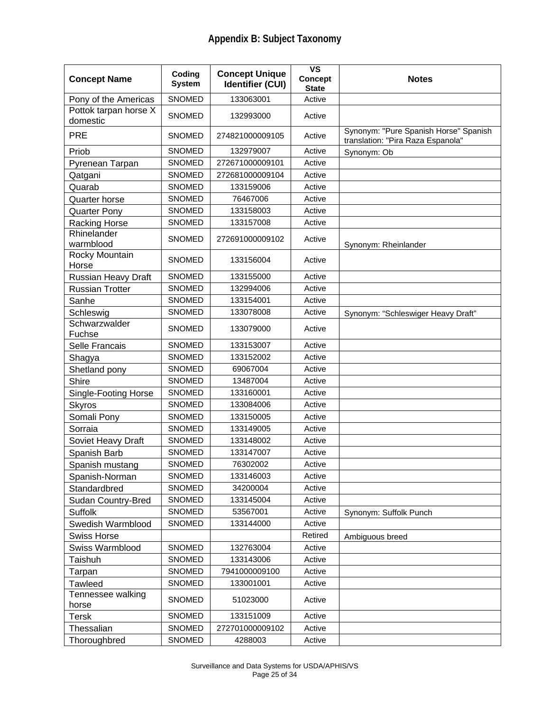| <b>Concept Name</b>               | Coding<br><b>System</b> | <b>Concept Unique</b><br><b>Identifier (CUI)</b> | $\overline{\mathsf{vs}}$<br>Concept<br><b>State</b> | <b>Notes</b>                                                               |
|-----------------------------------|-------------------------|--------------------------------------------------|-----------------------------------------------------|----------------------------------------------------------------------------|
| Pony of the Americas              | <b>SNOMED</b>           | 133063001                                        | Active                                              |                                                                            |
| Pottok tarpan horse X<br>domestic | <b>SNOMED</b>           | 132993000                                        | Active                                              |                                                                            |
| <b>PRE</b>                        | <b>SNOMED</b>           | 274821000009105                                  | Active                                              | Synonym: "Pure Spanish Horse" Spanish<br>translation: "Pira Raza Espanola" |
| Priob                             | <b>SNOMED</b>           | 132979007                                        | Active                                              | Synonym: Ob                                                                |
| Pyrenean Tarpan                   | <b>SNOMED</b>           | 272671000009101                                  | Active                                              |                                                                            |
| Qatgani                           | <b>SNOMED</b>           | 272681000009104                                  | Active                                              |                                                                            |
| Quarab                            | <b>SNOMED</b>           | 133159006                                        | Active                                              |                                                                            |
| Quarter horse                     | <b>SNOMED</b>           | 76467006                                         | Active                                              |                                                                            |
| <b>Quarter Pony</b>               | <b>SNOMED</b>           | 133158003                                        | Active                                              |                                                                            |
| Racking Horse                     | <b>SNOMED</b>           | 133157008                                        | Active                                              |                                                                            |
| Rhinelander<br>warmblood          | <b>SNOMED</b>           | 272691000009102                                  | Active                                              | Synonym: Rheinlander                                                       |
| Rocky Mountain<br>Horse           | <b>SNOMED</b>           | 133156004                                        | Active                                              |                                                                            |
| Russian Heavy Draft               | <b>SNOMED</b>           | 133155000                                        | Active                                              |                                                                            |
| <b>Russian Trotter</b>            | <b>SNOMED</b>           | 132994006                                        | Active                                              |                                                                            |
| Sanhe                             | SNOMED                  | 133154001                                        | Active                                              |                                                                            |
| Schleswig                         | SNOMED                  | 133078008                                        | Active                                              | Synonym: "Schleswiger Heavy Draft"                                         |
| Schwarzwalder<br>Fuchse           | SNOMED                  | 133079000                                        | Active                                              |                                                                            |
| Selle Francais                    | <b>SNOMED</b>           | 133153007                                        | Active                                              |                                                                            |
| Shagya                            | <b>SNOMED</b>           | 133152002                                        | Active                                              |                                                                            |
| Shetland pony                     | <b>SNOMED</b>           | 69067004                                         | Active                                              |                                                                            |
| Shire                             | <b>SNOMED</b>           | 13487004                                         | Active                                              |                                                                            |
| Single-Footing Horse              | <b>SNOMED</b>           | 133160001                                        | Active                                              |                                                                            |
| <b>Skyros</b>                     | <b>SNOMED</b>           | 133084006                                        | Active                                              |                                                                            |
| Somali Pony                       | <b>SNOMED</b>           | 133150005                                        | Active                                              |                                                                            |
| Sorraia                           | SNOMED                  | 133149005                                        | Active                                              |                                                                            |
| Soviet Heavy Draft                | <b>SNOMED</b>           | 133148002                                        | Active                                              |                                                                            |
| Spanish Barb                      | SNOMED                  | 133147007                                        | Active                                              |                                                                            |
| Spanish mustang                   | <b>SNOMED</b>           | 76302002                                         | Active                                              |                                                                            |
| Spanish-Norman                    | <b>SNOMED</b>           | 133146003                                        | Active                                              |                                                                            |
| Standardbred                      | SNOMED                  | 34200004                                         | Active                                              |                                                                            |
| <b>Sudan Country-Bred</b>         | SNOMED                  | 133145004                                        | Active                                              |                                                                            |
| Suffolk                           | SNOMED                  | 53567001                                         | Active                                              | Synonym: Suffolk Punch                                                     |
| Swedish Warmblood                 | SNOMED                  | 133144000                                        | Active                                              |                                                                            |
| <b>Swiss Horse</b>                |                         |                                                  | Retired                                             | Ambiguous breed                                                            |
| Swiss Warmblood                   | SNOMED                  | 132763004                                        | Active                                              |                                                                            |
| Taishuh                           | <b>SNOMED</b>           | 133143006                                        | Active                                              |                                                                            |
| Tarpan                            | SNOMED                  | 7941000009100                                    | Active                                              |                                                                            |
| Tawleed                           | SNOMED                  | 133001001                                        | Active                                              |                                                                            |
| Tennessee walking<br>horse        | <b>SNOMED</b>           | 51023000                                         | Active                                              |                                                                            |
| Tersk                             | SNOMED                  | 133151009                                        | Active                                              |                                                                            |
| Thessalian                        | SNOMED                  | 272701000009102                                  | Active                                              |                                                                            |
| Thoroughbred                      | SNOMED                  | 4288003                                          | Active                                              |                                                                            |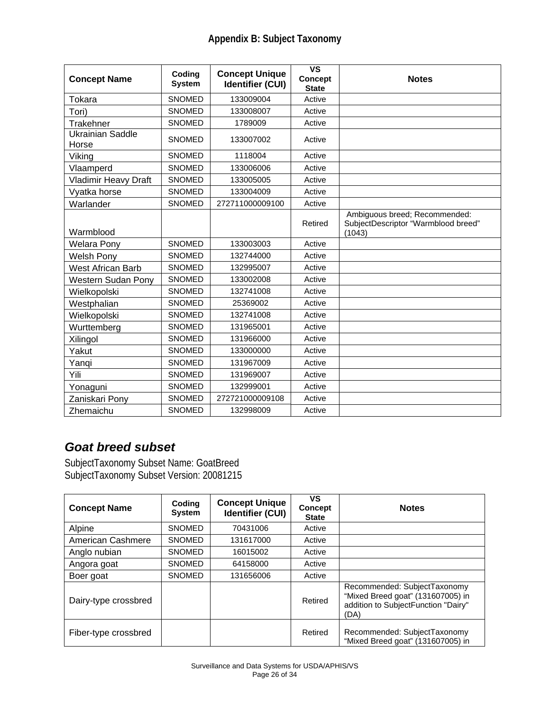| <b>Concept Name</b>         | Coding<br><b>System</b> | <b>Concept Unique</b><br><b>Identifier (CUI)</b> | $\overline{\mathsf{VS}}$<br><b>Concept</b><br><b>State</b> | <b>Notes</b>                                                                   |
|-----------------------------|-------------------------|--------------------------------------------------|------------------------------------------------------------|--------------------------------------------------------------------------------|
| Tokara                      | <b>SNOMED</b>           | 133009004                                        | Active                                                     |                                                                                |
| Tori)                       | SNOMED                  | 133008007                                        | Active                                                     |                                                                                |
| Trakehner                   | <b>SNOMED</b>           | 1789009                                          | Active                                                     |                                                                                |
| Ukrainian Saddle<br>Horse   | <b>SNOMED</b>           | 133007002                                        | Active                                                     |                                                                                |
| Viking                      | <b>SNOMED</b>           | 1118004                                          | Active                                                     |                                                                                |
| Vlaamperd                   | <b>SNOMED</b>           | 133006006                                        | Active                                                     |                                                                                |
| <b>Vladimir Heavy Draft</b> | <b>SNOMED</b>           | 133005005                                        | Active                                                     |                                                                                |
| Vyatka horse                | <b>SNOMED</b>           | 133004009                                        | Active                                                     |                                                                                |
| Warlander                   | SNOMED                  | 272711000009100                                  | Active                                                     |                                                                                |
| Warmblood                   |                         |                                                  | Retired                                                    | Ambiguous breed; Recommended:<br>SubjectDescriptor "Warmblood breed"<br>(1043) |
| <b>Welara Pony</b>          | <b>SNOMED</b>           | 133003003                                        | Active                                                     |                                                                                |
| <b>Welsh Pony</b>           | <b>SNOMED</b>           | 132744000                                        | Active                                                     |                                                                                |
| <b>West African Barb</b>    | <b>SNOMED</b>           | 132995007                                        | Active                                                     |                                                                                |
| Western Sudan Pony          | <b>SNOMED</b>           | 133002008                                        | Active                                                     |                                                                                |
| Wielkopolski                | <b>SNOMED</b>           | 132741008                                        | Active                                                     |                                                                                |
| Westphalian                 | <b>SNOMED</b>           | 25369002                                         | Active                                                     |                                                                                |
| Wielkopolski                | <b>SNOMED</b>           | 132741008                                        | Active                                                     |                                                                                |
| Wurttemberg                 | <b>SNOMED</b>           | 131965001                                        | Active                                                     |                                                                                |
| Xilingol                    | <b>SNOMED</b>           | 131966000                                        | Active                                                     |                                                                                |
| Yakut                       | <b>SNOMED</b>           | 133000000                                        | Active                                                     |                                                                                |
| Yanqi                       | <b>SNOMED</b>           | 131967009                                        | Active                                                     |                                                                                |
| Yili                        | <b>SNOMED</b>           | 131969007                                        | Active                                                     |                                                                                |
| Yonaguni                    | <b>SNOMED</b>           | 132999001                                        | Active                                                     |                                                                                |
| Zaniskari Pony              | <b>SNOMED</b>           | 272721000009108                                  | Active                                                     |                                                                                |
| Zhemaichu                   | <b>SNOMED</b>           | 132998009                                        | Active                                                     |                                                                                |

#### *Goat breed subset*

SubjectTaxonomy Subset Name: GoatBreed SubjectTaxonomy Subset Version: 20081215

| <b>Concept Name</b>  | Coding<br><b>System</b> | <b>Concept Unique</b><br><b>Identifier (CUI)</b> | VS<br><b>Concept</b><br><b>State</b> | <b>Notes</b>                                                                                                     |
|----------------------|-------------------------|--------------------------------------------------|--------------------------------------|------------------------------------------------------------------------------------------------------------------|
| Alpine               | <b>SNOMED</b>           | 70431006                                         | Active                               |                                                                                                                  |
| American Cashmere    | <b>SNOMED</b>           | 131617000                                        | Active                               |                                                                                                                  |
| Anglo nubian         | <b>SNOMED</b>           | 16015002                                         | Active                               |                                                                                                                  |
| Angora goat          | <b>SNOMED</b>           | 64158000                                         | Active                               |                                                                                                                  |
| Boer goat            | <b>SNOMED</b>           | 131656006                                        | Active                               |                                                                                                                  |
| Dairy-type crossbred |                         |                                                  | Retired                              | Recommended: SubjectTaxonomy<br>"Mixed Breed goat" (131607005) in<br>addition to SubjectFunction "Dairy"<br>(DA) |
| Fiber-type crossbred |                         |                                                  | Retired                              | Recommended: SubjectTaxonomy<br>"Mixed Breed goat" (131607005) in                                                |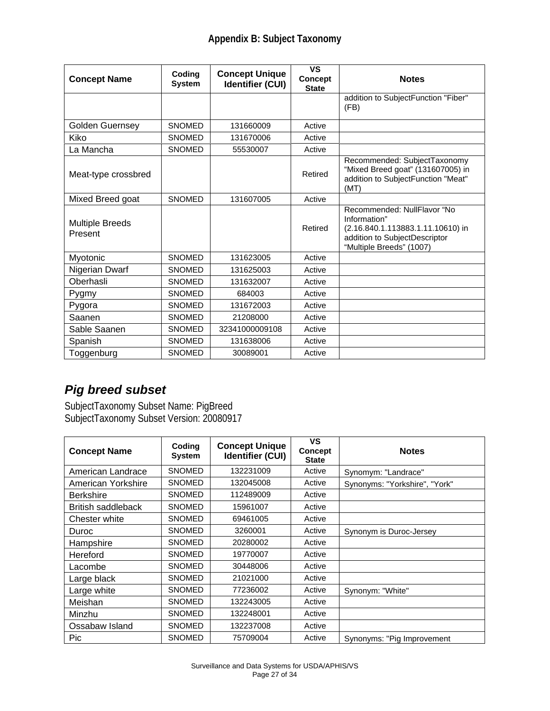| <b>Concept Name</b>               | Coding<br><b>System</b> | <b>Concept Unique</b><br><b>Identifier (CUI)</b> | <b>VS</b><br><b>Concept</b><br><b>State</b> | <b>Notes</b>                                                                                                                                  |
|-----------------------------------|-------------------------|--------------------------------------------------|---------------------------------------------|-----------------------------------------------------------------------------------------------------------------------------------------------|
|                                   |                         |                                                  |                                             | addition to SubjectFunction "Fiber"<br>(FB)                                                                                                   |
| <b>Golden Guernsey</b>            | <b>SNOMED</b>           | 131660009                                        | Active                                      |                                                                                                                                               |
| Kiko                              | <b>SNOMED</b>           | 131670006                                        | Active                                      |                                                                                                                                               |
| La Mancha                         | <b>SNOMED</b>           | 55530007                                         | Active                                      |                                                                                                                                               |
| Meat-type crossbred               |                         |                                                  | Retired                                     | Recommended: SubjectTaxonomy<br>"Mixed Breed goat" (131607005) in<br>addition to SubjectFunction "Meat"<br>(MT)                               |
| Mixed Breed goat                  | <b>SNOMED</b>           | 131607005                                        | Active                                      |                                                                                                                                               |
| <b>Multiple Breeds</b><br>Present |                         |                                                  | Retired                                     | Recommended: NullFlavor "No<br>Information"<br>(2.16.840.1.113883.1.11.10610) in<br>addition to SubjectDescriptor<br>"Multiple Breeds" (1007) |
| Myotonic                          | <b>SNOMED</b>           | 131623005                                        | Active                                      |                                                                                                                                               |
| Nigerian Dwarf                    | <b>SNOMED</b>           | 131625003                                        | Active                                      |                                                                                                                                               |
| Oberhasli                         | <b>SNOMED</b>           | 131632007                                        | Active                                      |                                                                                                                                               |
| Pygmy                             | <b>SNOMED</b>           | 684003                                           | Active                                      |                                                                                                                                               |
| Pygora                            | <b>SNOMED</b>           | 131672003                                        | Active                                      |                                                                                                                                               |
| Saanen                            | <b>SNOMED</b>           | 21208000                                         | Active                                      |                                                                                                                                               |
| Sable Saanen                      | <b>SNOMED</b>           | 32341000009108                                   | Active                                      |                                                                                                                                               |
| Spanish                           | <b>SNOMED</b>           | 131638006                                        | Active                                      |                                                                                                                                               |
| Toggenburg                        | <b>SNOMED</b>           | 30089001                                         | Active                                      |                                                                                                                                               |

## *Pig breed subset*

SubjectTaxonomy Subset Name: PigBreed SubjectTaxonomy Subset Version: 20080917

| <b>Concept Name</b> | Coding<br><b>System</b> | <b>Concept Unique</b><br><b>Identifier (CUI)</b> | VS<br>Concept<br><b>State</b> | <b>Notes</b>                  |
|---------------------|-------------------------|--------------------------------------------------|-------------------------------|-------------------------------|
| American Landrace   | <b>SNOMED</b>           | 132231009                                        | Active                        | Synomym: "Landrace"           |
| American Yorkshire  | <b>SNOMED</b>           | 132045008                                        | Active                        | Synonyms: "Yorkshire", "York" |
| <b>Berkshire</b>    | <b>SNOMED</b>           | 112489009                                        | Active                        |                               |
| British saddleback  | <b>SNOMED</b>           | 15961007                                         | Active                        |                               |
| Chester white       | <b>SNOMED</b>           | 69461005                                         | Active                        |                               |
| Duroc               | <b>SNOMED</b>           | 3260001                                          | Active                        | Synonym is Duroc-Jersey       |
| Hampshire           | <b>SNOMED</b>           | 20280002                                         | Active                        |                               |
| Hereford            | <b>SNOMED</b>           | 19770007                                         | Active                        |                               |
| Lacombe             | <b>SNOMED</b>           | 30448006                                         | Active                        |                               |
| Large black         | <b>SNOMED</b>           | 21021000                                         | Active                        |                               |
| Large white         | <b>SNOMED</b>           | 77236002                                         | Active                        | Synonym: "White"              |
| Meishan             | <b>SNOMED</b>           | 132243005                                        | Active                        |                               |
| Minzhu              | <b>SNOMED</b>           | 132248001                                        | Active                        |                               |
| Ossabaw Island      | <b>SNOMED</b>           | 132237008                                        | Active                        |                               |
| Pic                 | <b>SNOMED</b>           | 75709004                                         | Active                        | Synonyms: "Pig Improvement    |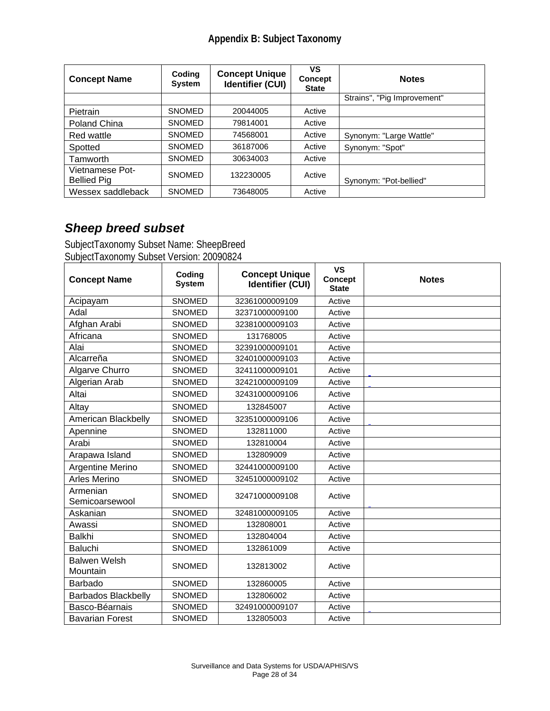| <b>Concept Name</b>                   | Coding<br><b>System</b> | <b>Concept Unique</b><br><b>Identifier (CUI)</b> | VS<br><b>Concept</b><br><b>State</b> | <b>Notes</b>                |
|---------------------------------------|-------------------------|--------------------------------------------------|--------------------------------------|-----------------------------|
|                                       |                         |                                                  |                                      | Strains", "Pig Improvement" |
| <b>Pietrain</b>                       | <b>SNOMED</b>           | 20044005                                         | Active                               |                             |
| Poland China                          | <b>SNOMED</b>           | 79814001                                         | Active                               |                             |
| Red wattle                            | <b>SNOMED</b>           | 74568001                                         | Active                               | Synonym: "Large Wattle"     |
| Spotted                               | <b>SNOMED</b>           | 36187006                                         | Active                               | Synonym: "Spot"             |
| Tamworth                              | <b>SNOMED</b>           | 30634003                                         | Active                               |                             |
| Vietnamese Pot-<br><b>Bellied Pig</b> | <b>SNOMED</b>           | 132230005                                        | Active                               | Synonym: "Pot-bellied"      |
| Wessex saddleback                     | <b>SNOMED</b>           | 73648005                                         | Active                               |                             |

## *Sheep breed subset*

SubjectTaxonomy Subset Name: SheepBreed SubjectTaxonomy Subset Version: 20090824

| <b>Concept Name</b>        | Coding<br><b>System</b> | <b>Concept Unique</b><br><b>Identifier (CUI)</b> | <b>VS</b><br><b>Concept</b><br><b>State</b> | <b>Notes</b> |
|----------------------------|-------------------------|--------------------------------------------------|---------------------------------------------|--------------|
| Acipayam                   | <b>SNOMED</b>           | 32361000009109                                   | Active                                      |              |
| Adal                       | <b>SNOMED</b>           | 32371000009100                                   | Active                                      |              |
| Afghan Arabi               | <b>SNOMED</b>           | 32381000009103                                   | Active                                      |              |
| Africana                   | <b>SNOMED</b>           | 131768005                                        | Active                                      |              |
| Alai                       | <b>SNOMED</b>           | 32391000009101                                   | Active                                      |              |
| Alcarreña                  | <b>SNOMED</b>           | 32401000009103                                   | Active                                      |              |
| Algarve Churro             | <b>SNOMED</b>           | 32411000009101                                   | Active                                      |              |
| Algerian Arab              | <b>SNOMED</b>           | 32421000009109                                   | Active                                      |              |
| Altai                      | <b>SNOMED</b>           | 32431000009106                                   | Active                                      |              |
| Altay                      | <b>SNOMED</b>           | 132845007                                        | Active                                      |              |
| American Blackbelly        | <b>SNOMED</b>           | 32351000009106                                   | Active                                      |              |
| Apennine                   | <b>SNOMED</b>           | 132811000                                        | Active                                      |              |
| Arabi                      | <b>SNOMED</b>           | 132810004                                        | Active                                      |              |
| Arapawa Island             | <b>SNOMED</b>           | 132809009                                        | Active                                      |              |
| Argentine Merino           | <b>SNOMED</b>           | 32441000009100                                   | Active                                      |              |
| <b>Arles Merino</b>        | SNOMED                  | 32451000009102                                   | Active                                      |              |
| Armenian<br>Semicoarsewool | <b>SNOMED</b>           | 32471000009108                                   | Active                                      |              |
| Askanian                   | SNOMED                  | 32481000009105                                   | Active                                      |              |
| Awassi                     | <b>SNOMED</b>           | 132808001                                        | Active                                      |              |
| <b>Balkhi</b>              | <b>SNOMED</b>           | 132804004                                        | Active                                      |              |
| Baluchi                    | <b>SNOMED</b>           | 132861009                                        | Active                                      |              |
| <b>Balwen Welsh</b>        | <b>SNOMED</b>           | 132813002                                        | Active                                      |              |
| Mountain                   |                         |                                                  |                                             |              |
| Barbado                    | <b>SNOMED</b>           | 132860005                                        | Active                                      |              |
| <b>Barbados Blackbelly</b> | <b>SNOMED</b>           | 132806002                                        | Active                                      |              |
| Basco-Béarnais             | <b>SNOMED</b>           | 32491000009107                                   | Active                                      |              |
| <b>Bavarian Forest</b>     | <b>SNOMED</b>           | 132805003                                        | Active                                      |              |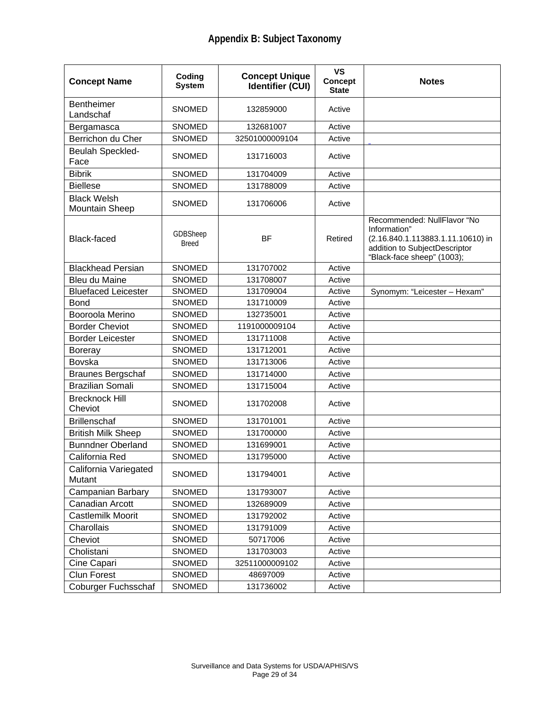| <b>Concept Name</b>                         | Coding<br><b>System</b>  | <b>Concept Unique</b><br><b>Identifier (CUI)</b> | <b>VS</b><br><b>Concept</b><br><b>State</b> | <b>Notes</b>                                                                                                                                    |
|---------------------------------------------|--------------------------|--------------------------------------------------|---------------------------------------------|-------------------------------------------------------------------------------------------------------------------------------------------------|
| <b>Bentheimer</b><br>Landschaf              | <b>SNOMED</b>            | 132859000                                        | Active                                      |                                                                                                                                                 |
| Bergamasca                                  | <b>SNOMED</b>            | 132681007                                        | Active                                      |                                                                                                                                                 |
| Berrichon du Cher                           | <b>SNOMED</b>            | 32501000009104                                   | Active                                      |                                                                                                                                                 |
| Beulah Speckled-<br>Face                    | <b>SNOMED</b>            | 131716003                                        | Active                                      |                                                                                                                                                 |
| <b>Bibrik</b>                               | <b>SNOMED</b>            | 131704009                                        | Active                                      |                                                                                                                                                 |
| <b>Biellese</b>                             | <b>SNOMED</b>            | 131788009                                        | Active                                      |                                                                                                                                                 |
| <b>Black Welsh</b><br><b>Mountain Sheep</b> | <b>SNOMED</b>            | 131706006                                        | Active                                      |                                                                                                                                                 |
| <b>Black-faced</b>                          | GDBSheep<br><b>Breed</b> | <b>BF</b>                                        | Retired                                     | Recommended: NullFlavor "No<br>Information"<br>(2.16.840.1.113883.1.11.10610) in<br>addition to SubjectDescriptor<br>"Black-face sheep" (1003); |
| <b>Blackhead Persian</b>                    | <b>SNOMED</b>            | 131707002                                        | Active                                      |                                                                                                                                                 |
| Bleu du Maine                               | <b>SNOMED</b>            | 131708007                                        | Active                                      |                                                                                                                                                 |
| <b>Bluefaced Leicester</b>                  | SNOMED                   | 131709004                                        | Active                                      | Synomym: "Leicester - Hexam"                                                                                                                    |
| <b>Bond</b>                                 | SNOMED                   | 131710009                                        | Active                                      |                                                                                                                                                 |
| Booroola Merino                             | <b>SNOMED</b>            | 132735001                                        | Active                                      |                                                                                                                                                 |
| <b>Border Cheviot</b>                       | <b>SNOMED</b>            | 1191000009104                                    | Active                                      |                                                                                                                                                 |
| <b>Border Leicester</b>                     | <b>SNOMED</b>            | 131711008                                        | Active                                      |                                                                                                                                                 |
| <b>Boreray</b>                              | <b>SNOMED</b>            | 131712001                                        | Active                                      |                                                                                                                                                 |
| Bovska                                      | <b>SNOMED</b>            | 131713006                                        | Active                                      |                                                                                                                                                 |
| <b>Braunes Bergschaf</b>                    | <b>SNOMED</b>            | 131714000                                        | Active                                      |                                                                                                                                                 |
| <b>Brazilian Somali</b>                     | SNOMED                   | 131715004                                        | Active                                      |                                                                                                                                                 |
| <b>Brecknock Hill</b><br>Cheviot            | <b>SNOMED</b>            | 131702008                                        | Active                                      |                                                                                                                                                 |
| <b>Brillenschaf</b>                         | <b>SNOMED</b>            | 131701001                                        | Active                                      |                                                                                                                                                 |
| <b>British Milk Sheep</b>                   | SNOMED                   | 131700000                                        | Active                                      |                                                                                                                                                 |
| <b>Bunndner Oberland</b>                    | SNOMED                   | 131699001                                        | Active                                      |                                                                                                                                                 |
| California Red                              | <b>SNOMED</b>            | 131795000                                        | Active                                      |                                                                                                                                                 |
| California Variegated<br>Mutant             | SNOMED                   | 131794001                                        | Active                                      |                                                                                                                                                 |
| <b>Campanian Barbary</b>                    | SNOMED                   | 131793007                                        | Active                                      |                                                                                                                                                 |
| Canadian Arcott                             | SNOMED                   | 132689009                                        | Active                                      |                                                                                                                                                 |
| Castlemilk Moorit                           | SNOMED                   | 131792002                                        | Active                                      |                                                                                                                                                 |
| Charollais                                  | <b>SNOMED</b>            | 131791009                                        | Active                                      |                                                                                                                                                 |
| Cheviot                                     | SNOMED                   | 50717006                                         | Active                                      |                                                                                                                                                 |
| Cholistani                                  | SNOMED                   | 131703003                                        | Active                                      |                                                                                                                                                 |
| Cine Capari                                 | SNOMED                   | 32511000009102                                   | Active                                      |                                                                                                                                                 |
| <b>Clun Forest</b>                          | SNOMED                   | 48697009                                         | Active                                      |                                                                                                                                                 |
| <b>Coburger Fuchsschaf</b>                  | SNOMED                   | 131736002                                        | Active                                      |                                                                                                                                                 |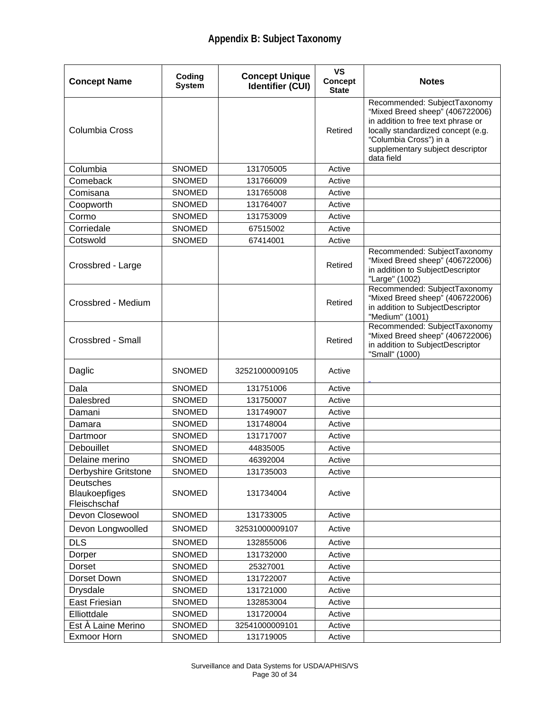| <b>Concept Name</b>                               | Coding<br><b>System</b> | <b>Concept Unique</b><br><b>Identifier (CUI)</b> | VS<br><b>Concept</b><br><b>State</b> | <b>Notes</b>                                                                                                                                                                                                            |
|---------------------------------------------------|-------------------------|--------------------------------------------------|--------------------------------------|-------------------------------------------------------------------------------------------------------------------------------------------------------------------------------------------------------------------------|
| Columbia Cross                                    |                         |                                                  | Retired                              | Recommended: SubjectTaxonomy<br>"Mixed Breed sheep" (406722006)<br>in addition to free text phrase or<br>locally standardized concept (e.g.<br>"Columbia Cross") in a<br>supplementary subject descriptor<br>data field |
| Columbia                                          | <b>SNOMED</b>           | 131705005                                        | Active                               |                                                                                                                                                                                                                         |
| Comeback                                          | <b>SNOMED</b>           | 131766009                                        | Active                               |                                                                                                                                                                                                                         |
| Comisana                                          | <b>SNOMED</b>           | 131765008                                        | Active                               |                                                                                                                                                                                                                         |
| Coopworth                                         | SNOMED                  | 131764007                                        | Active                               |                                                                                                                                                                                                                         |
| Cormo                                             | <b>SNOMED</b>           | 131753009                                        | Active                               |                                                                                                                                                                                                                         |
| Corriedale                                        | <b>SNOMED</b>           | 67515002                                         | Active                               |                                                                                                                                                                                                                         |
| Cotswold                                          | <b>SNOMED</b>           | 67414001                                         | Active                               |                                                                                                                                                                                                                         |
| Crossbred - Large                                 |                         |                                                  | Retired                              | Recommended: SubjectTaxonomy<br>"Mixed Breed sheep" (406722006)<br>in addition to SubjectDescriptor<br>"Large" (1002)                                                                                                   |
| Crossbred - Medium                                |                         |                                                  | Retired                              | Recommended: SubjectTaxonomy<br>"Mixed Breed sheep" (406722006)<br>in addition to SubjectDescriptor<br>"Medium" (1001)                                                                                                  |
| Crossbred - Small                                 |                         |                                                  | Retired                              | Recommended: SubjectTaxonomy<br>"Mixed Breed sheep" (406722006)<br>in addition to SubjectDescriptor<br>"Small" (1000)                                                                                                   |
| Daglic                                            | <b>SNOMED</b>           | 32521000009105                                   | Active                               |                                                                                                                                                                                                                         |
| Dala                                              | <b>SNOMED</b>           | 131751006                                        | Active                               |                                                                                                                                                                                                                         |
| Dalesbred                                         | <b>SNOMED</b>           | 131750007                                        | Active                               |                                                                                                                                                                                                                         |
| Damani                                            | <b>SNOMED</b>           | 131749007                                        | Active                               |                                                                                                                                                                                                                         |
| Damara                                            | <b>SNOMED</b>           | 131748004                                        | Active                               |                                                                                                                                                                                                                         |
| Dartmoor                                          | <b>SNOMED</b>           | 131717007                                        | Active                               |                                                                                                                                                                                                                         |
| Debouillet                                        | <b>SNOMED</b>           | 44835005                                         | Active                               |                                                                                                                                                                                                                         |
| Delaine merino                                    | <b>SNOMED</b>           | 46392004                                         | Active                               |                                                                                                                                                                                                                         |
| Derbyshire Gritstone                              | SNOMED                  | 131735003                                        | Active                               |                                                                                                                                                                                                                         |
| Deutsches<br><b>Blaukoepfiges</b><br>Fleischschaf | SNOMED                  | 131734004                                        | Active                               |                                                                                                                                                                                                                         |
| Devon Closewool                                   | SNOMED                  | 131733005                                        | Active                               |                                                                                                                                                                                                                         |
| Devon Longwoolled                                 | SNOMED                  | 32531000009107                                   | Active                               |                                                                                                                                                                                                                         |
| <b>DLS</b>                                        | SNOMED                  | 132855006                                        | Active                               |                                                                                                                                                                                                                         |
| Dorper                                            | SNOMED                  | 131732000                                        | Active                               |                                                                                                                                                                                                                         |
| Dorset                                            | SNOMED                  | 25327001                                         | Active                               |                                                                                                                                                                                                                         |
| Dorset Down                                       | <b>SNOMED</b>           | 131722007                                        | Active                               |                                                                                                                                                                                                                         |
| <b>Drysdale</b>                                   | SNOMED                  | 131721000                                        | Active                               |                                                                                                                                                                                                                         |
| East Friesian                                     | SNOMED                  | 132853004                                        | Active                               |                                                                                                                                                                                                                         |
| Elliottdale                                       | SNOMED                  | 131720004                                        | Active                               |                                                                                                                                                                                                                         |
| Est À Laine Merino                                | SNOMED                  | 32541000009101                                   | Active                               |                                                                                                                                                                                                                         |
| <b>Exmoor Horn</b>                                | <b>SNOMED</b>           | 131719005                                        | Active                               |                                                                                                                                                                                                                         |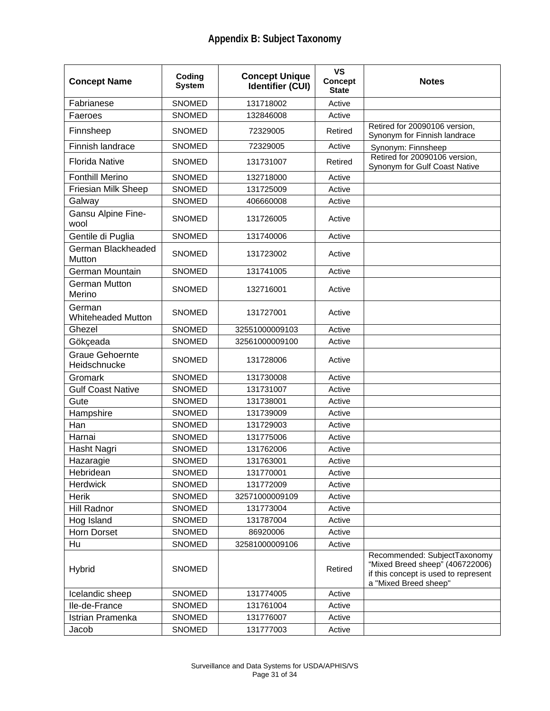| <b>Concept Name</b>                    | Coding<br><b>System</b> | <b>Concept Unique</b><br><b>Identifier (CUI)</b> | <b>VS</b><br><b>Concept</b><br><b>State</b> | <b>Notes</b>                                                                                                                     |
|----------------------------------------|-------------------------|--------------------------------------------------|---------------------------------------------|----------------------------------------------------------------------------------------------------------------------------------|
| Fabrianese                             | <b>SNOMED</b>           | 131718002                                        | Active                                      |                                                                                                                                  |
| Faeroes                                | <b>SNOMED</b>           | 132846008                                        | Active                                      |                                                                                                                                  |
| Finnsheep                              | <b>SNOMED</b>           | 72329005                                         | Retired                                     | Retired for 20090106 version,<br>Synonym for Finnish landrace                                                                    |
| Finnish landrace                       | <b>SNOMED</b>           | 72329005                                         | Active                                      | Synonym: Finnsheep                                                                                                               |
| <b>Florida Native</b>                  | <b>SNOMED</b>           | 131731007                                        | Retired                                     | Retired for 20090106 version,<br>Synonym for Gulf Coast Native                                                                   |
| <b>Fonthill Merino</b>                 | <b>SNOMED</b>           | 132718000                                        | Active                                      |                                                                                                                                  |
| Friesian Milk Sheep                    | <b>SNOMED</b>           | 131725009                                        | Active                                      |                                                                                                                                  |
| Galway                                 | <b>SNOMED</b>           | 406660008                                        | Active                                      |                                                                                                                                  |
| Gansu Alpine Fine-<br>wool             | <b>SNOMED</b>           | 131726005                                        | Active                                      |                                                                                                                                  |
| Gentile di Puglia                      | <b>SNOMED</b>           | 131740006                                        | Active                                      |                                                                                                                                  |
| German Blackheaded<br>Mutton           | <b>SNOMED</b>           | 131723002                                        | Active                                      |                                                                                                                                  |
| German Mountain                        | <b>SNOMED</b>           | 131741005                                        | Active                                      |                                                                                                                                  |
| <b>German Mutton</b><br>Merino         | <b>SNOMED</b>           | 132716001                                        | Active                                      |                                                                                                                                  |
| German<br><b>Whiteheaded Mutton</b>    | <b>SNOMED</b>           | 131727001                                        | Active                                      |                                                                                                                                  |
| Ghezel                                 | <b>SNOMED</b>           | 32551000009103                                   | Active                                      |                                                                                                                                  |
| Gökçeada                               | <b>SNOMED</b>           | 32561000009100                                   | Active                                      |                                                                                                                                  |
| <b>Graue Gehoernte</b><br>Heidschnucke | <b>SNOMED</b>           | 131728006                                        | Active                                      |                                                                                                                                  |
| Gromark                                | <b>SNOMED</b>           | 131730008                                        | Active                                      |                                                                                                                                  |
| <b>Gulf Coast Native</b>               | <b>SNOMED</b>           | 131731007                                        | Active                                      |                                                                                                                                  |
| Gute                                   | <b>SNOMED</b>           | 131738001                                        | Active                                      |                                                                                                                                  |
| Hampshire                              | <b>SNOMED</b>           | 131739009                                        | Active                                      |                                                                                                                                  |
| Han                                    | <b>SNOMED</b>           | 131729003                                        | Active                                      |                                                                                                                                  |
| Harnai                                 | <b>SNOMED</b>           | 131775006                                        | Active                                      |                                                                                                                                  |
| Hasht Nagri                            | SNOMED                  | 131762006                                        | Active                                      |                                                                                                                                  |
| Hazaragie                              | <b>SNOMED</b>           | 131763001                                        | Active                                      |                                                                                                                                  |
| Hebridean                              | <b>SNOMED</b>           | 131770001                                        | Active                                      |                                                                                                                                  |
| Herdwick                               | <b>SNOMED</b>           | 131772009                                        | Active                                      |                                                                                                                                  |
| <b>Herik</b>                           | SNOMED                  | 32571000009109                                   | Active                                      |                                                                                                                                  |
| <b>Hill Radnor</b>                     | SNOMED                  | 131773004                                        | Active                                      |                                                                                                                                  |
| Hog Island                             | SNOMED                  | 131787004                                        | Active                                      |                                                                                                                                  |
| Horn Dorset                            | SNOMED                  | 86920006                                         | Active                                      |                                                                                                                                  |
| Hu                                     | SNOMED                  | 32581000009106                                   | Active                                      |                                                                                                                                  |
| Hybrid                                 | <b>SNOMED</b>           |                                                  | Retired                                     | Recommended: SubjectTaxonomy<br>"Mixed Breed sheep" (406722006)<br>if this concept is used to represent<br>a "Mixed Breed sheep" |
| Icelandic sheep                        | <b>SNOMED</b>           | 131774005                                        | Active                                      |                                                                                                                                  |
| Ile-de-France                          | SNOMED                  | 131761004                                        | Active                                      |                                                                                                                                  |
| Istrian Pramenka                       | SNOMED                  | 131776007                                        | Active                                      |                                                                                                                                  |
| Jacob                                  | SNOMED                  | 131777003                                        | Active                                      |                                                                                                                                  |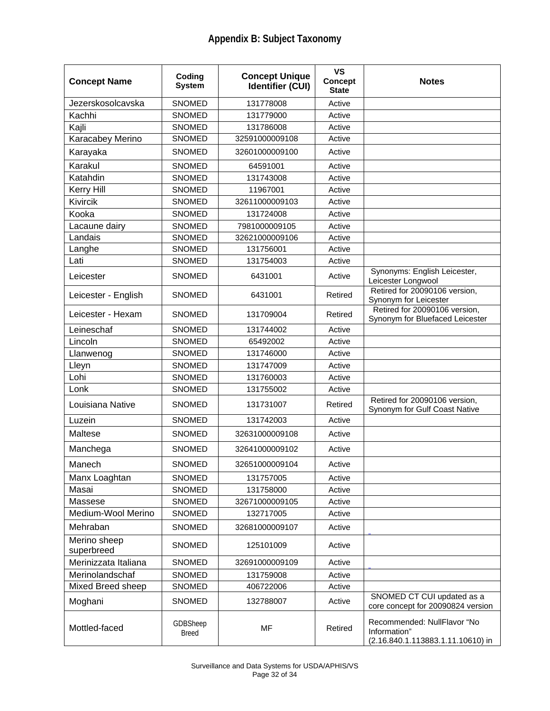| <b>Concept Name</b>        | Coding<br><b>System</b>  | <b>Concept Unique</b><br><b>Identifier (CUI)</b> | <b>VS</b><br><b>Concept</b><br><b>State</b> | <b>Notes</b>                                                                     |
|----------------------------|--------------------------|--------------------------------------------------|---------------------------------------------|----------------------------------------------------------------------------------|
| Jezerskosolcavska          | <b>SNOMED</b>            | 131778008                                        | Active                                      |                                                                                  |
| Kachhi                     | <b>SNOMED</b>            | 131779000                                        | Active                                      |                                                                                  |
| Kajli                      | <b>SNOMED</b>            | 131786008                                        | Active                                      |                                                                                  |
| <b>Karacabey Merino</b>    | <b>SNOMED</b>            | 32591000009108                                   | Active                                      |                                                                                  |
| Karayaka                   | <b>SNOMED</b>            | 32601000009100                                   | Active                                      |                                                                                  |
| Karakul                    | <b>SNOMED</b>            | 64591001                                         | Active                                      |                                                                                  |
| Katahdin                   | <b>SNOMED</b>            | 131743008                                        | Active                                      |                                                                                  |
| Kerry Hill                 | <b>SNOMED</b>            | 11967001                                         | Active                                      |                                                                                  |
| Kivircik                   | <b>SNOMED</b>            | 32611000009103                                   | Active                                      |                                                                                  |
| Kooka                      | <b>SNOMED</b>            | 131724008                                        | Active                                      |                                                                                  |
| Lacaune dairy              | <b>SNOMED</b>            | 7981000009105                                    | Active                                      |                                                                                  |
| Landais                    | SNOMED                   | 32621000009106                                   | Active                                      |                                                                                  |
| Langhe                     | <b>SNOMED</b>            | 131756001                                        | Active                                      |                                                                                  |
| Lati                       | SNOMED                   | 131754003                                        | Active                                      |                                                                                  |
| Leicester                  | <b>SNOMED</b>            | 6431001                                          | Active                                      | Synonyms: English Leicester,<br>Leicester Longwool                               |
| Leicester - English        | <b>SNOMED</b>            | 6431001                                          | Retired                                     | Retired for 20090106 version,<br>Synonym for Leicester                           |
| Leicester - Hexam          | <b>SNOMED</b>            | 131709004                                        | Retired                                     | Retired for 20090106 version,<br>Synonym for Bluefaced Leicester                 |
| Leineschaf                 | <b>SNOMED</b>            | 131744002                                        | Active                                      |                                                                                  |
| Lincoln                    | SNOMED                   | 65492002                                         | Active                                      |                                                                                  |
| Llanwenog                  | <b>SNOMED</b>            | 131746000                                        | Active                                      |                                                                                  |
| Lleyn                      | <b>SNOMED</b>            | 131747009                                        | Active                                      |                                                                                  |
| Lohi                       | <b>SNOMED</b>            | 131760003                                        | Active                                      |                                                                                  |
| Lonk                       | <b>SNOMED</b>            | 131755002                                        | Active                                      |                                                                                  |
| Louisiana Native           | <b>SNOMED</b>            | 131731007                                        | Retired                                     | Retired for 20090106 version,<br>Synonym for Gulf Coast Native                   |
| Luzein                     | <b>SNOMED</b>            | 131742003                                        | Active                                      |                                                                                  |
| Maltese                    | <b>SNOMED</b>            | 32631000009108                                   | Active                                      |                                                                                  |
| Manchega                   | <b>SNOMED</b>            | 32641000009102                                   | Active                                      |                                                                                  |
| Manech                     | SNOMED                   | 32651000009104                                   | Active                                      |                                                                                  |
| Manx Loaghtan              | <b>SNOMED</b>            | 131757005                                        | Active                                      |                                                                                  |
| Masai                      | SNOMED                   | 131758000                                        | Active                                      |                                                                                  |
| Massese                    | SNOMED                   | 32671000009105                                   | Active                                      |                                                                                  |
| Medium-Wool Merino         | <b>SNOMED</b>            | 132717005                                        | Active                                      |                                                                                  |
| Mehraban                   | <b>SNOMED</b>            | 32681000009107                                   | Active                                      |                                                                                  |
| Merino sheep<br>superbreed | SNOMED                   | 125101009                                        | Active                                      |                                                                                  |
| Merinizzata Italiana       | <b>SNOMED</b>            | 32691000009109                                   | Active                                      |                                                                                  |
| Merinolandschaf            | <b>SNOMED</b>            | 131759008                                        | Active                                      |                                                                                  |
| Mixed Breed sheep          | SNOMED                   | 406722006                                        | Active                                      |                                                                                  |
| Moghani                    | <b>SNOMED</b>            | 132788007                                        | Active                                      | SNOMED CT CUI updated as a<br>core concept for 20090824 version                  |
| Mottled-faced              | GDBSheep<br><b>Breed</b> | MF                                               | Retired                                     | Recommended: NullFlavor "No<br>Information"<br>(2.16.840.1.113883.1.11.10610) in |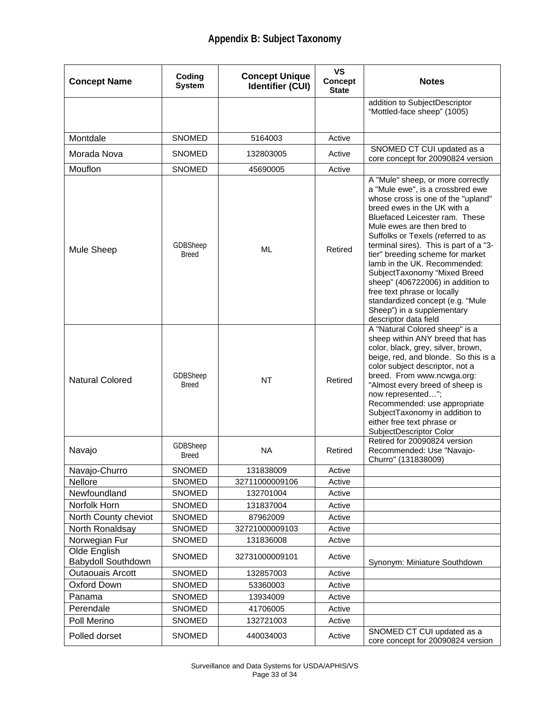| <b>Concept Name</b>                       | Coding<br><b>System</b>  | <b>Concept Unique</b><br><b>Identifier (CUI)</b> | <b>VS</b><br><b>Concept</b><br><b>State</b> | <b>Notes</b>                                                                                                                                                                                                                                                                                                                                                                                                                                                                                                                                                  |
|-------------------------------------------|--------------------------|--------------------------------------------------|---------------------------------------------|---------------------------------------------------------------------------------------------------------------------------------------------------------------------------------------------------------------------------------------------------------------------------------------------------------------------------------------------------------------------------------------------------------------------------------------------------------------------------------------------------------------------------------------------------------------|
|                                           |                          |                                                  |                                             | addition to SubjectDescriptor<br>"Mottled-face sheep" (1005)                                                                                                                                                                                                                                                                                                                                                                                                                                                                                                  |
| Montdale                                  | SNOMED                   | 5164003                                          | Active                                      |                                                                                                                                                                                                                                                                                                                                                                                                                                                                                                                                                               |
| Morada Nova                               | <b>SNOMED</b>            | 132803005                                        | Active                                      | SNOMED CT CUI updated as a<br>core concept for 20090824 version                                                                                                                                                                                                                                                                                                                                                                                                                                                                                               |
| Mouflon                                   | <b>SNOMED</b>            | 45690005                                         | Active                                      |                                                                                                                                                                                                                                                                                                                                                                                                                                                                                                                                                               |
| Mule Sheep                                | GDBSheep<br><b>Breed</b> | ML                                               | Retired                                     | A "Mule" sheep, or more correctly<br>a "Mule ewe", is a crossbred ewe<br>whose cross is one of the "upland"<br>breed ewes in the UK with a<br>Bluefaced Leicester ram. These<br>Mule ewes are then bred to<br>Suffolks or Texels (referred to as<br>terminal sires). This is part of a "3-<br>tier" breeding scheme for market<br>lamb in the UK. Recommended:<br>SubjectTaxonomy "Mixed Breed<br>sheep" (406722006) in addition to<br>free text phrase or locally<br>standardized concept (e.g. "Mule<br>Sheep") in a supplementary<br>descriptor data field |
| <b>Natural Colored</b>                    | GDBSheep<br><b>Breed</b> | NT                                               | Retired                                     | A "Natural Colored sheep" is a<br>sheep within ANY breed that has<br>color, black, grey, silver, brown,<br>beige, red, and blonde. So this is a<br>color subject descriptor, not a<br>breed. From www.ncwga.org:<br>"Almost every breed of sheep is<br>now represented";<br>Recommended: use appropriate<br>SubjectTaxonomy in addition to<br>either free text phrase or<br>SubjectDescriptor Color                                                                                                                                                           |
| Navajo                                    | GDBSheep<br><b>Breed</b> | <b>NA</b>                                        | Retired                                     | Retired for 20090824 version<br>Recommended: Use "Navajo-<br>Churro" (131838009)                                                                                                                                                                                                                                                                                                                                                                                                                                                                              |
| Navajo-Churro                             | <b>SNOMED</b>            | 131838009                                        | Active                                      |                                                                                                                                                                                                                                                                                                                                                                                                                                                                                                                                                               |
| <b>Nellore</b>                            | <b>SNOMED</b>            | 32711000009106                                   | Active                                      |                                                                                                                                                                                                                                                                                                                                                                                                                                                                                                                                                               |
| Newfoundland                              | SNOMED                   | 132701004                                        | Active                                      |                                                                                                                                                                                                                                                                                                                                                                                                                                                                                                                                                               |
| Norfolk Horn                              | SNOMED                   | 131837004                                        | Active                                      |                                                                                                                                                                                                                                                                                                                                                                                                                                                                                                                                                               |
| North County cheviot                      | <b>SNOMED</b>            | 87962009                                         | Active                                      |                                                                                                                                                                                                                                                                                                                                                                                                                                                                                                                                                               |
| North Ronaldsay                           | SNOMED                   | 32721000009103                                   | Active                                      |                                                                                                                                                                                                                                                                                                                                                                                                                                                                                                                                                               |
| Norwegian Fur                             | <b>SNOMED</b>            | 131836008                                        | Active                                      |                                                                                                                                                                                                                                                                                                                                                                                                                                                                                                                                                               |
| Olde English<br><b>Babydoll Southdown</b> | SNOMED                   | 32731000009101                                   | Active                                      | Synonym: Miniature Southdown                                                                                                                                                                                                                                                                                                                                                                                                                                                                                                                                  |
| <b>Outaouais Arcott</b>                   | <b>SNOMED</b>            | 132857003                                        | Active                                      |                                                                                                                                                                                                                                                                                                                                                                                                                                                                                                                                                               |
| <b>Oxford Down</b>                        | SNOMED                   | 53360003                                         | Active                                      |                                                                                                                                                                                                                                                                                                                                                                                                                                                                                                                                                               |
| Panama                                    | SNOMED                   | 13934009                                         | Active                                      |                                                                                                                                                                                                                                                                                                                                                                                                                                                                                                                                                               |
| Perendale                                 | <b>SNOMED</b>            | 41706005                                         | Active                                      |                                                                                                                                                                                                                                                                                                                                                                                                                                                                                                                                                               |
| Poll Merino                               | SNOMED                   | 132721003                                        | Active                                      |                                                                                                                                                                                                                                                                                                                                                                                                                                                                                                                                                               |
| Polled dorset                             | SNOMED                   | 440034003                                        | Active                                      | SNOMED CT CUI updated as a<br>core concept for 20090824 version                                                                                                                                                                                                                                                                                                                                                                                                                                                                                               |